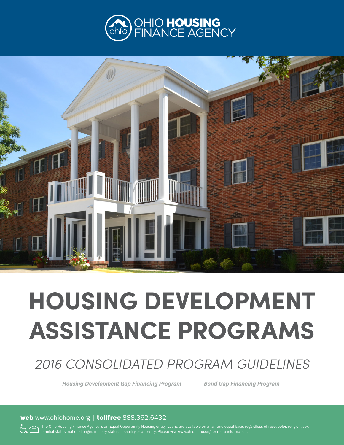



# **HOUSING DEVELOPMENT ASSISTANCE PROGRAMS**

# *2016 CONSOLIDATED PROGRAM GUIDELINES*

*Housing Development Gap Financing Program Bond Gap Financing Program*

web www.ohiohome.org | tollfree 888.362.6432

The Ohio Housing Finance Agency is an Equal Opportunity Housing entity. Loans are available on a fair and equal basis regardless of race, color, religion, sex, familial status, national origin, military status, disability or ancestry. Please visit www.ohiohome.org for more information.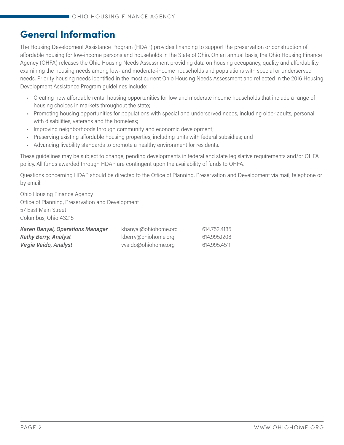# **General Information**

The Housing Development Assistance Program (HDAP) provides financing to support the preservation or construction of affordable housing for low-income persons and households in the State of Ohio. On an annual basis, the Ohio Housing Finance Agency (OHFA) releases the Ohio Housing Needs Assessment providing data on housing occupancy, quality and affordability examining the housing needs among low- and moderate-income households and populations with special or underserved needs. Priority housing needs identified in the most current Ohio Housing Needs Assessment and reflected in the 2016 Housing Development Assistance Program guidelines include:

- Creating new affordable rental housing opportunities for low and moderate income households that include a range of housing choices in markets throughout the state;
- Promoting housing opportunities for populations with special and underserved needs, including older adults, personal with disabilities, veterans and the homeless;
- Improving neighborhoods through community and economic development;
- Preserving existing affordable housing properties, including units with federal subsidies; and
- Advancing livability standards to promote a healthy environment for residents.

These guidelines may be subject to change, pending developments in federal and state legislative requirements and/or OHFA policy. All funds awarded through HDAP are contingent upon the availability of funds to OHFA.

Questions concerning HDAP should be directed to the Office of Planning, Preservation and Development via mail, telephone or by email:

Ohio Housing Finance Agency Office of Planning, Preservation and Development 57 East Main Street Columbus, Ohio 43215

| Karen Banyai, Operations Manager | kbanyai@ohiohome.org | 614,752,4185 |
|----------------------------------|----------------------|--------------|
| <b>Kathy Berry, Analyst</b>      | kberry@ohiohome.org  | 614,995,1208 |
| Virgie Vaido, Analyst            | vvaido@ohiohome.org  | 614.995.4511 |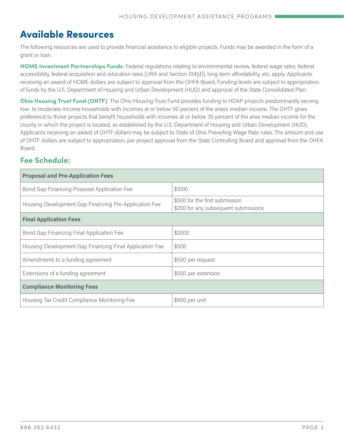# **Available Resources**

The following resources are used to provide financial assistance to eligible projects. Funds may be awarded in the form of a grant or loan.

**HOME Investment Partnerships Funds**: Federal regulations relating to environmental review, federal wage rates, federal accessibility, federal acquisition and relocation laws [URA and Section 104(d)], long-term affordability, etc. apply. Applicants receiving an award of HOME dollars are subject to approval from the OHFA Board. Funding levels are subject to appropriation of funds by the U.S. Department of Housing and Urban Development (HUD) and approval of the State Consolidated Plan.

**Ohio Housing Trust Fund (OHTF)**: The Ohio Housing Trust Fund provides funding to HDAP projects predominantly serving low- to moderate-income households with incomes at or below 50 percent of the area's median income. The OHTF gives preference to those projects that benefit households with incomes at or below 35 percent of the area median income for the county in which the project is located, as established by the U.S. Department of Housing and Urban Development (HUD). Applicants receiving an award of OHTF dollars may be subject to State of Ohio Prevailing Wage Rate rules. The amount and use of OHTF dollars are subject to appropriation, per project approval from the State Controlling Board and approval from the OHFA Board.

# **Fee Schedule:**

| <b>Proposal and Pre-Application Fees</b>                |                                                                        |
|---------------------------------------------------------|------------------------------------------------------------------------|
| Bond Gap Financing Proposal Application Fee             | \$1000                                                                 |
| Housing Development Gap Financing Pre-Application Fee   | \$500 for the first submission<br>\$200 for any subsequent submissions |
| <b>Final Application Fees</b>                           |                                                                        |
| Bond Gap Financing Final Application Fee                | \$2000                                                                 |
| Housing Development Gap Financing Final Application Fee | \$500                                                                  |
| Amendments to a funding agreement                       | \$500 per request                                                      |
| Extensions of a funding agreement                       | \$500 per extension                                                    |
| <b>Compliance Monitoring Fees</b>                       |                                                                        |
| Housing Tax Credit Compliance Monitoring Fee            | \$900 per unit                                                         |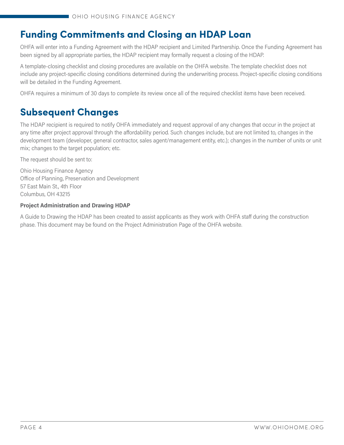# **Funding Commitments and Closing an HDAP Loan**

OHFA will enter into a Funding Agreement with the HDAP recipient and Limited Partnership. Once the Funding Agreement has been signed by all appropriate parties, the HDAP recipient may formally request a closing of the HDAP.

A template-closing checklist and closing procedures are available on the OHFA website. The template checklist does not include any project-specific closing conditions determined during the underwriting process. Project-specific closing conditions will be detailed in the Funding Agreement.

OHFA requires a minimum of 30 days to complete its review once all of the required checklist items have been received.

# **Subsequent Changes**

The HDAP recipient is required to notify OHFA immediately and request approval of any changes that occur in the project at any time after project approval through the affordability period. Such changes include, but are not limited to, changes in the development team (developer, general contractor, sales agent/management entity, etc.); changes in the number of units or unit mix; changes to the target population; etc.

The request should be sent to:

Ohio Housing Finance Agency Office of Planning, Preservation and Development 57 East Main St., 4th Floor Columbus, OH 43215

#### **Project Administration and Drawing HDAP**

A Guide to Drawing the HDAP has been created to assist applicants as they work with OHFA staff during the construction phase. This document may be found on the Project Administration Page of the OHFA website.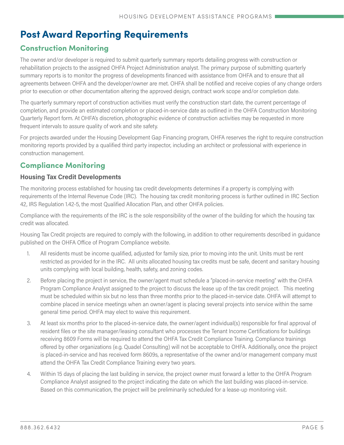# **Post Award Reporting Requirements**

# **Construction Monitoring**

The owner and/or developer is required to submit quarterly summary reports detailing progress with construction or rehabilitation projects to the assigned OHFA Project Administration analyst. The primary purpose of submitting quarterly summary reports is to monitor the progress of developments financed with assistance from OHFA and to ensure that all agreements between OHFA and the developer/owner are met. OHFA shall be notified and receive copies of any change orders prior to execution or other documentation altering the approved design, contract work scope and/or completion date.

The quarterly summary report of construction activities must verify the construction start date, the current percentage of completion, and provide an estimated completion or placed-in-service date as outlined in the OHFA Construction Monitoring Quarterly Report form. At OHFA's discretion, photographic evidence of construction activities may be requested in more frequent intervals to assure quality of work and site safety.

For projects awarded under the Housing Development Gap Financing program, OHFA reserves the right to require construction monitoring reports provided by a qualified third party inspector, including an architect or professional with experience in construction management.

# **Compliance Monitoring**

#### **Housing Tax Credit Developments**

The monitoring process established for housing tax credit developments determines if a property is complying with requirements of the Internal Revenue Code (IRC). The housing tax credit monitoring process is further outlined in IRC Section 42, IRS Regulation 1.42-5, the most Qualified Allocation Plan, and other OHFA policies.

Compliance with the requirements of the IRC is the sole responsibility of the owner of the building for which the housing tax credit was allocated.

Housing Tax Credit projects are required to comply with the following, in addition to other requirements described in guidance published on the OHFA Office of Program Compliance website.

- 1. All residents must be income qualified, adjusted for family size, prior to moving into the unit. Units must be rent restricted as provided for in the IRC. All units allocated housing tax credits must be safe, decent and sanitary housing units complying with local building, health, safety, and zoning codes.
- 2. Before placing the project in service, the owner/agent must schedule a "placed-in-service meeting" with the OHFA Program Compliance Analyst assigned to the project to discuss the lease up of the tax credit project. This meeting must be scheduled within six but no less than three months prior to the placed-in-service date. OHFA will attempt to combine placed in service meetings when an owner/agent is placing several projects into service within the same general time period. OHFA may elect to waive this requirement.
- 3. At least six months prior to the placed-in-service date, the owner/agent individual(s) responsible for final approval of resident files or the site manager/leasing consultant who processes the Tenant Income Certifications for buildings receiving 8609 Forms will be required to attend the OHFA Tax Credit Compliance Training. Compliance trainings offered by other organizations (e.g. Quadel Consulting) will not be acceptable to OHFA. Additionally, once the project is placed-in-service and has received form 8609s, a representative of the owner and/or management company must attend the OHFA Tax Credit Compliance Training every two years.
- 4. Within 15 days of placing the last building in service, the project owner must forward a letter to the OHFA Program Compliance Analyst assigned to the project indicating the date on which the last building was placed-in-service. Based on this communication, the project will be preliminarily scheduled for a lease-up monitoring visit.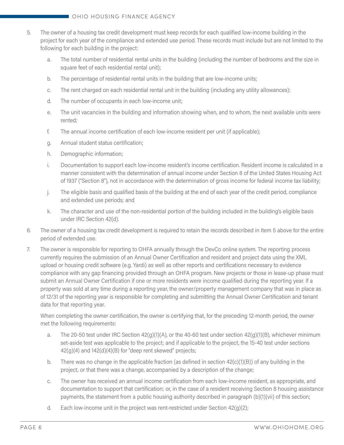- 5. The owner of a housing tax credit development must keep records for each qualified low-income building in the project for each year of the compliance and extended use period. These records must include but are not limited to the following for each building in the project:
	- a. The total number of residential rental units in the building (including the number of bedrooms and the size in square feet of each residential rental unit);
	- b. The percentage of residential rental units in the building that are low-income units;
	- c. The rent charged on each residential rental unit in the building (including any utility allowances);
	- d. The number of occupants in each low-income unit;
	- e. The unit vacancies in the building and information showing when, and to whom, the next available units were rented;
	- f. The annual income certification of each low-income resident per unit (if applicable);
	- g. Annual student status certification;
	- h. Demographic information;
	- i. Documentation to support each low-income resident's income certification. Resident income is calculated in a manner consistent with the determination of annual income under Section 8 of the United States Housing Act of 1937 ("Section 8"), not in accordance with the determination of gross income for federal income tax liability;
	- j. The eligible basis and qualified basis of the building at the end of each year of the credit period, compliance and extended use periods; and
	- k. The character and use of the non-residential portion of the building included in the building's eligible basis under IRC Section 42(d).
- 6. The owner of a housing tax credit development is required to retain the records described in Item 5 above for the entire period of extended use.
- 7. The owner is responsible for reporting to OHFA annually through the DevCo online system. The reporting process currently requires the submission of an Annual Owner Certification and resident and project data using the XML upload or housing credit software (e.g. Yardi) as well as other reports and certifications necessary to evidence compliance with any gap financing provided through an OHFA program. New projects or those in lease-up phase must submit an Annual Owner Certification if one or more residents were income qualified during the reporting year. If a property was sold at any time during a reporting year, the owner/property management company that was in place as of 12/31 of the reporting year is responsible for completing and submitting the Annual Owner Certification and tenant data for that reporting year.

When completing the owner certification, the owner is certifying that, for the preceding 12-month period, the owner met the following requirements:

- a. The 20-50 test under IRC Section  $42(g)(1)(A)$ , or the 40-60 test under section  $42(g)(1)(B)$ , whichever minimum set-aside test was applicable to the project; and if applicable to the project, the 15-40 test under sections  $42(q)(4)$  and  $142(d)(4)(B)$  for "deep rent skewed" projects;
- b. There was no change in the applicable fraction (as defined in section  $42(c)(1)(B)$ ) of any building in the project, or that there was a change, accompanied by a description of the change;
- c. The owner has received an annual income certification from each low-income resident, as appropriate, and documentation to support that certification; or, in the case of a resident receiving Section 8 housing assistance payments, the statement from a public housing authority described in paragraph (b)(1)(vii) of this section;
- d. Each low-income unit in the project was rent-restricted under Section  $42(q)(2)$ ;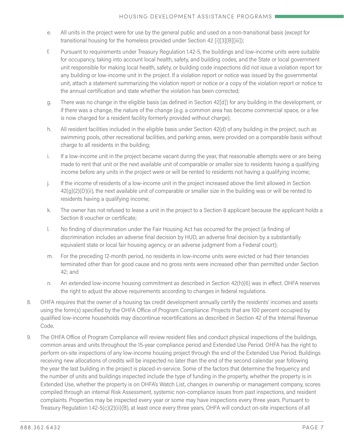- e. All units in the project were for use by the general public and used on a non-transitional basis (except for transitional housing for the homeless provided under Section 42 [i][3][B][iii]);
- f. Pursuant to requirements under Treasury Regulation 1.42-5, the buildings and low-income units were suitable for occupancy, taking into account local health, safety, and building codes, and the State or local government unit responsible for making local health, safety, or building code inspections did not issue a violation report for any building or low-income unit in the project. If a violation report or notice was issued by the governmental unit, attach a statement summarizing the violation report or notice or a copy of the violation report or notice to the annual certification and state whether the violation has been corrected;
- g. There was no change in the eligible basis (as defined in Section 42[d]) for any building in the development, or if there was a change, the nature of the change (e.g. a common area has become commercial space, or a fee is now charged for a resident facility formerly provided without charge);
- h. All resident facilities included in the eligible basis under Section 42(d) of any building in the project, such as swimming pools, other recreational facilities, and parking areas, were provided on a comparable basis without charge to all residents in the building;
- i. If a low-income unit in the project became vacant during the year, that reasonable attempts were or are being made to rent that unit or the next available unit of comparable or smaller size to residents having a qualifying income before any units in the project were or will be rented to residents not having a qualifying income;
- j. If the income of residents of a low-income unit in the project increased above the limit allowed in Section  $42(g)(2)(D)(ii)$ , the next available unit of comparable or smaller size in the building was or will be rented to residents having a qualifying income;
- k. The owner has not refused to lease a unit in the project to a Section 8 applicant because the applicant holds a Section 8 voucher or certificate;
- l. No finding of discrimination under the Fair Housing Act has occurred for the project (a finding of discrimination includes an adverse final decision by HUD, an adverse final decision by a substantially equivalent state or local fair housing agency, or an adverse judgment from a Federal court);
- m. For the preceding 12-month period, no residents in low-income units were evicted or had their tenancies terminated other than for good cause and no gross rents were increased other than permitted under Section 42; and
- n. An extended low-income housing commitment as described in Section 42(h)(6) was in effect. OHFA reserves the right to adjust the above requirements according to changes in federal regulations.
- 8. OHFA requires that the owner of a housing tax credit development annually certify the residents' incomes and assets using the form(s) specified by the OHFA Office of Program Compliance. Projects that are 100 percent occupied by qualified low-income households may discontinue recertifications as described in Section 42 of the Internal Revenue Code.
- 9. The OHFA Office of Program Compliance will review resident files and conduct physical inspections of the buildings, common areas and units throughout the 15-year compliance period and Extended Use Period. OHFA has the right to perform on-site inspections of any low-income housing project through the end of the Extended Use Period. Buildings receiving new allocations of credits will be inspected no later than the end of the second calendar year following the year the last building in the project is placed-in-service. Some of the factors that determine the frequency and the number of units and buildings inspected include the type of funding in the property, whether the property is in Extended Use, whether the property is on OHFA's Watch List, changes in ownership or management company, scores compiled through an internal Risk Assessment, systemic non-compliance issues from past inspections, and resident complaints. Properties may be inspected every year or some may have inspections every three years. Pursuant to Treasury Regulation 1.42-5(c)(2)(ii)(B), at least once every three years, OHFA will conduct on-site inspections of all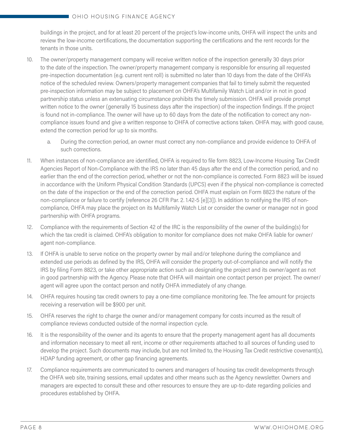#### OHIO HOUSING FINANCE AGENCY

buildings in the project, and for at least 20 percent of the project's low-income units, OHFA will inspect the units and review the low-income certifications, the documentation supporting the certifications and the rent records for the tenants in those units.

- 10. The owner/property management company will receive written notice of the inspection generally 30 days prior to the date of the inspection. The owner/property management company is responsible for ensuring all requested pre-inspection documentation (e.g. current rent roll) is submitted no later than 10 days from the date of the OHFA's notice of the scheduled review. Owners/property management companies that fail to timely submit the requested pre-inspection information may be subject to placement on OHFA's Multifamily Watch List and/or in not in good partnership status unless an extenuating circumstance prohibits the timely submission. OHFA will provide prompt written notice to the owner (generally 15 business days after the inspection) of the inspection findings. If the project is found not in-compliance. The owner will have up to 60 days from the date of the notification to correct any noncompliance issues found and give a written response to OHFA of corrective actions taken. OHFA may, with good cause, extend the correction period for up to six months.
	- a. During the correction period, an owner must correct any non-compliance and provide evidence to OHFA of such corrections.
- 11. When instances of non-compliance are identified, OHFA is required to file form 8823, Low-Income Housing Tax Credit Agencies Report of Non-Compliance with the IRS no later than 45 days after the end of the correction period, and no earlier than the end of the correction period, whether or not the non-compliance is corrected. Form 8823 will be issued in accordance with the Uniform Physical Condition Standards (UPCS) even if the physical non-compliance is corrected on the date of the inspection or the end of the correction period. OHFA must explain on Form 8823 the nature of the non-compliance or failure to certify (reference 26 CFR Par. 2. 1.42-5 [e][3]). In addition to notifying the IRS of noncompliance, OHFA may place the project on its Multifamily Watch List or consider the owner or manager not in good partnership with OHFA programs.
- 12. Compliance with the requirements of Section 42 of the IRC is the responsibility of the owner of the building(s) for which the tax credit is claimed. OHFA's obligation to monitor for compliance does not make OHFA liable for owner/ agent non-compliance.
- 13. If OHFA is unable to serve notice on the property owner by mail and/or telephone during the compliance and extended use periods as defined by the IRS, OHFA will consider the property out-of-compliance and will notify the IRS by filing Form 8823, or take other appropriate action such as designating the project and its owner/agent as not in good partnership with the Agency. Please note that OHFA will maintain one contact person per project. The owner/ agent will agree upon the contact person and notify OHFA immediately of any change.
- 14. OHFA requires housing tax credit owners to pay a one-time compliance monitoring fee. The fee amount for projects receiving a reservation will be \$900 per unit.
- 15. OHFA reserves the right to charge the owner and/or management company for costs incurred as the result of compliance reviews conducted outside of the normal inspection cycle.
- 16. It is the responsibility of the owner and its agents to ensure that the property management agent has all documents and information necessary to meet all rent, income or other requirements attached to all sources of funding used to develop the project. Such documents may include, but are not limited to, the Housing Tax Credit restrictive covenant(s), HDAP funding agreement, or other gap financing agreements.
- 17. Compliance requirements are communicated to owners and managers of housing tax credit developments through the OHFA web site, training sessions, email updates and other means such as the Agency newsletter. Owners and managers are expected to consult these and other resources to ensure they are up-to-date regarding policies and procedures established by OHFA.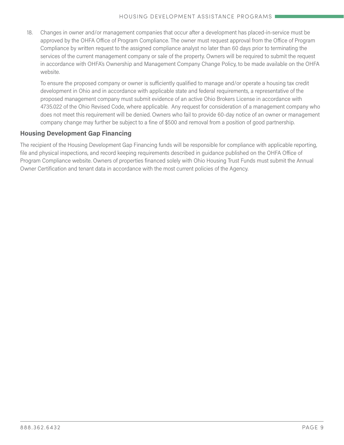18. Changes in owner and/or management companies that occur after a development has placed-in-service must be approved by the OHFA Office of Program Compliance. The owner must request approval from the Office of Program Compliance by written request to the assigned compliance analyst no later than 60 days prior to terminating the services of the current management company or sale of the property. Owners will be required to submit the request in accordance with OHFA's Ownership and Management Company Change Policy, to be made available on the OHFA website.

To ensure the proposed company or owner is sufficiently qualified to manage and/or operate a housing tax credit development in Ohio and in accordance with applicable state and federal requirements, a representative of the proposed management company must submit evidence of an active Ohio Brokers License in accordance with 4735.022 of the Ohio Revised Code, where applicable. Any request for consideration of a management company who does not meet this requirement will be denied. Owners who fail to provide 60-day notice of an owner or management company change may further be subject to a fine of \$500 and removal from a position of good partnership.

#### **Housing Development Gap Financing**

The recipient of the Housing Development Gap Financing funds will be responsible for compliance with applicable reporting, file and physical inspections, and record keeping requirements described in guidance published on the OHFA Office of Program Compliance website. Owners of properties financed solely with Ohio Housing Trust Funds must submit the Annual Owner Certification and tenant data in accordance with the most current policies of the Agency.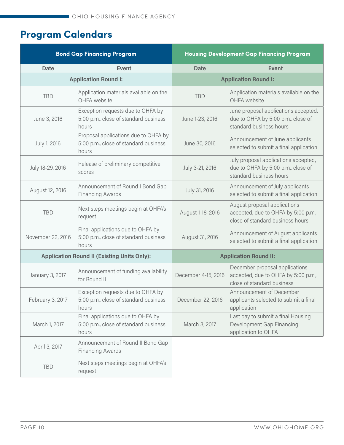# **Program Calendars**

| <b>Bond Gap Financing Program</b><br><b>Housing Development Gap Financing Program</b> |                                                                                        |                              |                                                                                                         |
|---------------------------------------------------------------------------------------|----------------------------------------------------------------------------------------|------------------------------|---------------------------------------------------------------------------------------------------------|
| <b>Date</b>                                                                           | <b>Event</b>                                                                           | <b>Date</b>                  | <b>Event</b>                                                                                            |
|                                                                                       | <b>Application Round I:</b>                                                            | <b>Application Round I:</b>  |                                                                                                         |
| <b>TBD</b>                                                                            | Application materials available on the<br>OHFA website                                 | <b>TBD</b>                   | Application materials available on the<br>OHFA website                                                  |
| June 3, 2016                                                                          | Exception requests due to OHFA by<br>5:00 p.m., close of standard business<br>hours    | June 1-23, 2016              | June proposal applications accepted,<br>due to OHFA by 5:00 p.m., close of<br>standard business hours   |
| July 1, 2016                                                                          | Proposal applications due to OHFA by<br>5:00 p.m., close of standard business<br>hours | June 30, 2016                | Announcement of June applicants<br>selected to submit a final application                               |
| July 18-29, 2016                                                                      | Release of preliminary competitive<br>scores                                           | July 3-21, 2016              | July proposal applications accepted,<br>due to OHFA by 5:00 p.m., close of<br>standard business hours   |
| August 12, 2016                                                                       | Announcement of Round I Bond Gap<br><b>Financing Awards</b>                            | July 31, 2016                | Announcement of July applicants<br>selected to submit a final application                               |
| <b>TBD</b>                                                                            | Next steps meetings begin at OHFA's<br>request                                         | August 1-18, 2016            | August proposal applications<br>accepted, due to OHFA by 5:00 p.m.,<br>close of standard business hours |
| November 22, 2016                                                                     | Final applications due to OHFA by<br>5:00 p.m., close of standard business<br>hours    | August 31, 2016              | Announcement of August applicants<br>selected to submit a final application                             |
|                                                                                       | <b>Application Round II (Existing Units Only):</b>                                     | <b>Application Round II:</b> |                                                                                                         |
| January 3, 2017                                                                       | Announcement of funding availability<br>for Round II                                   | December 4-15, 2016          | December proposal applications<br>accepted, due to OHFA by 5:00 p.m.,<br>close of standard business     |
| February 3, 2017                                                                      | Exception requests due to OHFA by<br>5:00 p.m., close of standard business<br>hours    | December 22, 2016            | Announcement of December<br>applicants selected to submit a final<br>application                        |
| March 1, 2017                                                                         | Final applications due to OHFA by<br>5:00 p.m., close of standard business<br>hours    | March 3, 2017                | Last day to submit a final Housing<br>Development Gap Financing<br>application to OHFA                  |
| April 3, 2017                                                                         | Announcement of Round II Bond Gap<br><b>Financing Awards</b>                           |                              |                                                                                                         |
| <b>TBD</b>                                                                            | Next steps meetings begin at OHFA's<br>request                                         |                              |                                                                                                         |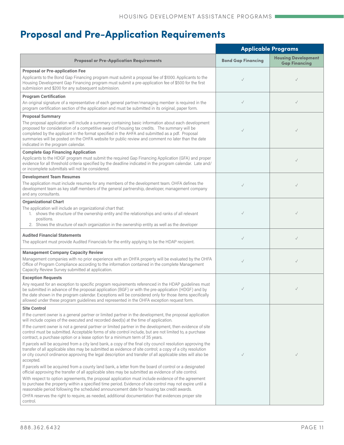# **Proposal and Pre-Application Requirements**

|                                                                                                                                                                                                                                                                                                                                                                                                                                                                               | <b>Applicable Programs</b> |                                                    |
|-------------------------------------------------------------------------------------------------------------------------------------------------------------------------------------------------------------------------------------------------------------------------------------------------------------------------------------------------------------------------------------------------------------------------------------------------------------------------------|----------------------------|----------------------------------------------------|
| <b>Proposal or Pre-Application Requirements</b>                                                                                                                                                                                                                                                                                                                                                                                                                               | <b>Bond Gap Financing</b>  | <b>Housing Development</b><br><b>Gap Financing</b> |
| <b>Proposal or Pre-application Fee</b><br>Applicants to the Bond Gap Financing program must submit a proposal fee of \$1000. Applicants to the<br>Housing Development Gap Financing program must submit a pre-application fee of \$500 for the first<br>submission and \$200 for any subsequent submission.                                                                                                                                                                   | $\checkmark$               |                                                    |
| <b>Program Certification</b>                                                                                                                                                                                                                                                                                                                                                                                                                                                  |                            |                                                    |
| An original signature of a representative of each general partner/managing member is required in the<br>program certification section of the application and must be submitted in its original, paper form.                                                                                                                                                                                                                                                                   | $\checkmark$               | $\checkmark$                                       |
| <b>Proposal Summary</b><br>The proposal application will include a summary containing basic information about each development<br>proposed for consideration of a competitive award of housing tax credits. The summary will be<br>completed by the applicant in the format specified in the AHFA and submitted as a pdf. Proposal<br>summaries will be posted on the OHFA website for public review and comment no later than the date<br>indicated in the program calendar. | $\checkmark$               |                                                    |
| <b>Complete Gap Financing Application</b><br>Applicants to the HDGF program must submit the required Gap Financing Application (GFA) and proper<br>evidence for all threshold criteria specified by the deadline indicated in the program calendar. Late and/<br>or incomplete submittals will not be considered.                                                                                                                                                             |                            | $\checkmark$                                       |
| <b>Development Team Resumes</b><br>The application must include resumes for any members of the development team. OHFA defines the<br>development team as key staff members of the general partnership, developer, management company<br>and any consultants.                                                                                                                                                                                                                  | $\checkmark$               | $\checkmark$                                       |
| <b>Organizational Chart</b><br>The application will include an organizational chart that:<br>1. shows the structure of the ownership entity and the relationships and ranks of all relevant<br>positions.<br>2. Shows the structure of each organization in the ownership entity as well as the developer                                                                                                                                                                     | $\checkmark$               | J                                                  |
| <b>Audited Financial Statements</b><br>The applicant must provide Audited Financials for the entity applying to be the HDAP recipient.                                                                                                                                                                                                                                                                                                                                        | $\checkmark$               | $\checkmark$                                       |
| <b>Management Company Capacity Review</b><br>Management companies with no prior experience with an OHFA property will be evaluated by the OHFA<br>Office of Program Compliance according to the information contained in the complete Management<br>Capacity Review Survey submitted at application.                                                                                                                                                                          | $\checkmark$               | $\checkmark$                                       |
| <b>Exception Requests</b><br>Any request for an exception to specific program requirements referenced in the HDAP guidelines must                                                                                                                                                                                                                                                                                                                                             |                            |                                                    |
| be submitted in advance of the proposal application (BGF) or with the pre-application (HDGF) and by<br>the date shown in the program calendar. Exceptions will be considered only for those items specifically<br>allowed under these program guidelines and represented in the OHFA exception request form.                                                                                                                                                                  | $\checkmark$               |                                                    |
| <b>Site Control</b>                                                                                                                                                                                                                                                                                                                                                                                                                                                           |                            |                                                    |
| If the current owner is a general partner or limited partner in the development, the proposal application<br>will include copies of the executed and recorded deed(s) at the time of application.                                                                                                                                                                                                                                                                             |                            |                                                    |
| If the current owner is not a general partner or limited partner in the development, then evidence of site<br>control must be submitted. Acceptable forms of site control include, but are not limited to, a purchase<br>contract, a purchase option or a lease option for a minimum term of 35 years.                                                                                                                                                                        |                            |                                                    |
| If parcels will be acquired from a city land bank, a copy of the final city council resolution approving the<br>transfer of all applicable sites may be submitted as evidence of site control; a copy of a city resolution<br>or city council ordinance approving the legal description and transfer of all applicable sites will also be<br>accepted.                                                                                                                        | $\checkmark$               | $\checkmark$                                       |
| If parcels will be acquired from a county land bank, a letter from the board of control or a designated<br>official approving the transfer of all applicable sites may be submitted as evidence of site control.                                                                                                                                                                                                                                                              |                            |                                                    |
| With respect to option agreements, the proposal application must include evidence of the agreement<br>to purchase the property within a specified time period. Evidence of site control may not expire until a<br>reasonable period following the scheduled announcement date for housing tax credit awards.                                                                                                                                                                  |                            |                                                    |
| OHFA reserves the right to require, as needed, additional documentation that evidences proper site<br>control.                                                                                                                                                                                                                                                                                                                                                                |                            |                                                    |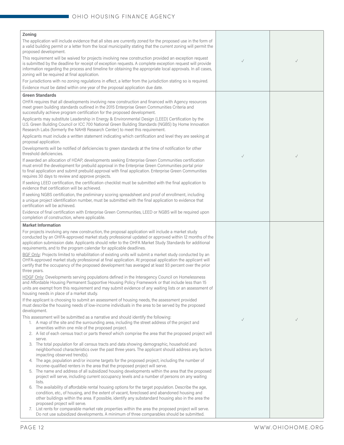| Zoning                                                                                                                                                                                                                                                                                                                                                                             |              |              |
|------------------------------------------------------------------------------------------------------------------------------------------------------------------------------------------------------------------------------------------------------------------------------------------------------------------------------------------------------------------------------------|--------------|--------------|
| The application will include evidence that all sites are currently zoned for the proposed use in the form of<br>a valid building permit or a letter from the local municipality stating that the current zoning will permit the<br>proposed development.                                                                                                                           |              |              |
| This requirement will be waived for projects involving new construction provided an exception request<br>is submitted by the deadline for receipt of exception requests. A complete exception request will provide<br>information regarding the process and timeline for obtaining the appropriate local approvals. In all cases,<br>zoning will be required at final application. | $\checkmark$ | $\checkmark$ |
| For jurisdictions with no zoning regulations in effect, a letter from the jurisdiction stating so is required.                                                                                                                                                                                                                                                                     |              |              |
| Evidence must be dated within one year of the proposal application due date.                                                                                                                                                                                                                                                                                                       |              |              |
| <b>Green Standards</b><br>OHFA requires that all developments involving new construction and financed with Agency resources                                                                                                                                                                                                                                                        |              |              |
| meet green building standards outlined in the 2015 Enterprise Green Communities Criteria and<br>successfully achieve program certification for the proposed development.<br>Applicants may substitute Leadership in Energy & Environmental Design (LEED) Certification by the                                                                                                      |              |              |
| U.S. Green Building Council or ICC 700 National Green Building Standards (NGBS) by Home Innovation<br>Research Labs (formerly the NAHB Research Center) to meet this requirement.                                                                                                                                                                                                  |              |              |
| Applicants must include a written statement indicating which certification and level they are seeking at<br>proposal application.                                                                                                                                                                                                                                                  |              |              |
| Developments will be notified of deficiencies to green standards at the time of notification for other<br>threshold deficiencies.                                                                                                                                                                                                                                                  | $\checkmark$ | $\checkmark$ |
| If awarded an allocation of HDAP, developments seeking Enterprise Green Communities certification<br>must enroll the development for prebuild approval in the Enterprise Green Communities portal prior                                                                                                                                                                            |              |              |
| to final application and submit prebuild approval with final application. Enterprise Green Communities<br>requires 30 days to review and approve projects.                                                                                                                                                                                                                         |              |              |
| If seeking LEED certification, the certification checklist must be submitted with the final application to<br>evidence that certification will be achieved.                                                                                                                                                                                                                        |              |              |
| If seeking NGBS certification, the preliminary scoring spreadsheet and proof of enrollment, including<br>a unique project identification number, must be submitted with the final application to evidence that<br>certification will be achieved.                                                                                                                                  |              |              |
| Evidence of final certification with Enterprise Green Communities, LEED or NGBS will be required upon<br>completion of construction, where applicable.                                                                                                                                                                                                                             |              |              |
| <b>Market Information</b>                                                                                                                                                                                                                                                                                                                                                          |              |              |
|                                                                                                                                                                                                                                                                                                                                                                                    |              |              |
| For projects involving any new construction, the proposal application will include a market study<br>conducted by an OHFA-approved market study professional updated or approved within 12 months of the<br>application submission date. Applicants should refer to the OHFA Market Study Standards for additional                                                                 |              |              |
| requirements, and to the program calendar for applicable deadlines.<br>BGF Only: Projects limited to rehabilitation of existing units will submit a market study conducted by an                                                                                                                                                                                                   |              |              |
| OHFA-approved market study professional at final application. At proposal application the applicant will<br>certify that the occupancy of the proposed development has averaged at least 93 percent over the prior<br>three years.                                                                                                                                                 |              |              |
| HDGF Only: Developments serving populations defined in the Interagency Council on Homelessness<br>and Affordable Housing Permanent Supportive Housing Policy Framework or that include less than 15<br>units are exempt from this requirement and may submit evidence of any waiting lists or an assessment of<br>housing needs in place of a market study.                        |              |              |
| If the applicant is choosing to submit an assessment of housing needs, the assessment provided<br>must describe the housing needs of low-income individuals in the area to be served by the proposed<br>development.                                                                                                                                                               |              |              |
| This assessment will be submitted as a narrative and should identify the following:<br>1. A map of the site and the surrounding area, including the street address of the project and<br>amenities within one mile of the proposed project.                                                                                                                                        | $\checkmark$ | $\checkmark$ |
| 2. A list of each census tract or parts thereof which comprise the area that the proposed project will<br>serve.                                                                                                                                                                                                                                                                   |              |              |
| 3. The total population for all census tracts and data showing demographic, household and<br>neighborhood characteristics over the past three years. The applicant should address any factors<br>impacting observed trend(s).                                                                                                                                                      |              |              |
| 4. The age, population and/or income targets for the proposed project, including the number of                                                                                                                                                                                                                                                                                     |              |              |
| income-qualified renters in the area that the proposed project will serve.<br>5. The name and address of all subsidized housing developments within the area that the proposed<br>project will serve, including current occupancy levels and a number of persons on any waiting                                                                                                    |              |              |
| lists.<br>The availability of affordable rental housing options for the target population. Describe the age,<br>6.<br>condition, etc., of housing, and the extent of vacant, foreclosed and abandoned housing and                                                                                                                                                                  |              |              |
| other buildings within the area. If possible, identify any substandard housing also in the area the<br>proposed project will serve.                                                                                                                                                                                                                                                |              |              |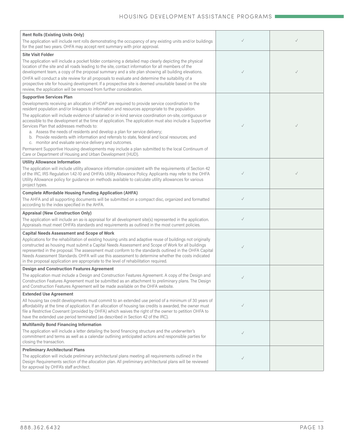| <b>Rent Rolls (Existing Units Only)</b>                                                                                                                                                                                                                                                                                                                                                                                                                                                                                                                                                                       |              |              |
|---------------------------------------------------------------------------------------------------------------------------------------------------------------------------------------------------------------------------------------------------------------------------------------------------------------------------------------------------------------------------------------------------------------------------------------------------------------------------------------------------------------------------------------------------------------------------------------------------------------|--------------|--------------|
| The application will include rent rolls demonstrating the occupancy of any existing units and/or buildings<br>for the past two years. OHFA may accept rent summary with prior approval.                                                                                                                                                                                                                                                                                                                                                                                                                       | $\checkmark$ | $\checkmark$ |
| <b>Site Visit Folder</b>                                                                                                                                                                                                                                                                                                                                                                                                                                                                                                                                                                                      |              |              |
| The application will include a pocket folder containing a detailed map clearly depicting the physical<br>location of the site and all roads leading to the site, contact information for all members of the<br>development team, a copy of the proposal summary and a site plan showing all building elevations.                                                                                                                                                                                                                                                                                              | $\checkmark$ | $\checkmark$ |
| OHFA will conduct a site review for all proposals to evaluate and determine the suitability of a<br>prospective site for housing development. If a prospective site is deemed unsuitable based on the site<br>review, the application will be removed from further consideration.                                                                                                                                                                                                                                                                                                                             |              |              |
| <b>Supportive Services Plan</b>                                                                                                                                                                                                                                                                                                                                                                                                                                                                                                                                                                               |              |              |
| Developments receiving an allocation of HDAP are required to provide service coordination to the<br>resident population and/or linkages to information and resources appropriate to the population.                                                                                                                                                                                                                                                                                                                                                                                                           |              |              |
| The application will include evidence of salaried or in-kind service coordination on-site, contiguous or<br>accessible to the development at the time of application. The application must also include a Supportive<br>Services Plan that addresses methods to:<br>a. Assess the needs of residents and develop a plan for service delivery;<br>b. Provide residents with information and referrals to state, federal and local resources; and<br>c. monitor and evaluate service delivery and outcomes.<br>Permanent Supportive Housing developments may include a plan submitted to the local Continuum of | $\checkmark$ | $\checkmark$ |
| Care or Department of Housing and Urban Development (HUD).                                                                                                                                                                                                                                                                                                                                                                                                                                                                                                                                                    |              |              |
| <b>Utility Allowance Information</b>                                                                                                                                                                                                                                                                                                                                                                                                                                                                                                                                                                          |              |              |
| The application will include utility allowance information consistent with the requirements of Section 42<br>of the IRC, IRS Regulation 1.42-10 and OHFA's Utility Allowance Policy. Applicants may refer to the OHFA<br>Utility Allowance policy for guidance on methods available to calculate utility allowances for various<br>project types.                                                                                                                                                                                                                                                             | $\checkmark$ |              |
| <b>Complete Affordable Housing Funding Application (AHFA)</b>                                                                                                                                                                                                                                                                                                                                                                                                                                                                                                                                                 |              |              |
| The AHFA and all supporting documents will be submitted on a compact disc, organized and formatted<br>according to the index specified in the AHFA.                                                                                                                                                                                                                                                                                                                                                                                                                                                           | $\checkmark$ |              |
| <b>Appraisal (New Construction Only)</b>                                                                                                                                                                                                                                                                                                                                                                                                                                                                                                                                                                      |              |              |
| The application will include an as-is appraisal for all development site(s) represented in the application.<br>Appraisals must meet OHFA's standards and requirements as outlined in the most current policies.                                                                                                                                                                                                                                                                                                                                                                                               | $\checkmark$ |              |
| <b>Capital Needs Assessment and Scope of Work</b>                                                                                                                                                                                                                                                                                                                                                                                                                                                                                                                                                             |              |              |
| Applications for the rehabilitation of existing housing units and adaptive reuse of buildings not originally<br>constructed as housing must submit a Capital Needs Assessment and Scope of Work for all buildings<br>represented in the proposal. The assessment must conform to the standards outlined in the OHFA Capital<br>Needs Assessment Standards. OHFA will use this assessment to determine whether the costs indicated<br>in the proposal application are appropriate to the level of rehabilitation required.                                                                                     | $\checkmark$ |              |
| <b>Design and Construction Features Agreement</b>                                                                                                                                                                                                                                                                                                                                                                                                                                                                                                                                                             |              |              |
| The application must include a Design and Construction Features Agreement. A copy of the Design and<br>Construction Features Agreement must be submitted as an attachment to preliminary plans. The Design<br>and Construction Features Agreement will be made available on the OHFA website.                                                                                                                                                                                                                                                                                                                 | $\checkmark$ |              |
| <b>Extended Use Agreement</b>                                                                                                                                                                                                                                                                                                                                                                                                                                                                                                                                                                                 |              |              |
| All housing tax credit developments must commit to an extended use period of a minimum of 30 years of<br>affordability at the time of application. If an allocation of housing tax credits is awarded, the owner must<br>file a Restrictive Covenant (provided by OHFA) which waives the right of the owner to petition OHFA to<br>have the extended use period terminated (as described in Section 42 of the IRC).                                                                                                                                                                                           | $\checkmark$ |              |
| <b>Multifamily Bond Financing Information</b>                                                                                                                                                                                                                                                                                                                                                                                                                                                                                                                                                                 |              |              |
| The application will include a letter detailing the bond financing structure and the underwriter's<br>commitment and terms as well as a calendar outlining anticipated actions and responsible parties for<br>closing the transaction.                                                                                                                                                                                                                                                                                                                                                                        | $\checkmark$ |              |
| <b>Preliminary Architectural Plans</b>                                                                                                                                                                                                                                                                                                                                                                                                                                                                                                                                                                        |              |              |
| The application will include preliminary architectural plans meeting all requirements outlined in the<br>Design Requirements section of the allocation plan. All preliminary architectural plans will be reviewed<br>for approval by OHFA's staff architect.                                                                                                                                                                                                                                                                                                                                                  | $\checkmark$ |              |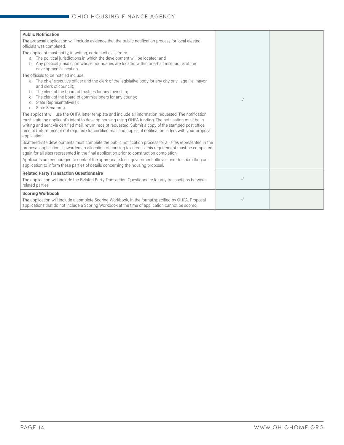| <b>Public Notification</b>                                                                                                                                                                                                                                                                                                                                                                                                                                                                                                                                                                                                                                                                                                                                                                                                                                                                                                                                                                                                                                                                                                                           |              |  |
|------------------------------------------------------------------------------------------------------------------------------------------------------------------------------------------------------------------------------------------------------------------------------------------------------------------------------------------------------------------------------------------------------------------------------------------------------------------------------------------------------------------------------------------------------------------------------------------------------------------------------------------------------------------------------------------------------------------------------------------------------------------------------------------------------------------------------------------------------------------------------------------------------------------------------------------------------------------------------------------------------------------------------------------------------------------------------------------------------------------------------------------------------|--------------|--|
| The proposal application will include evidence that the public notification process for local elected<br>officials was completed.                                                                                                                                                                                                                                                                                                                                                                                                                                                                                                                                                                                                                                                                                                                                                                                                                                                                                                                                                                                                                    |              |  |
| The applicant must notify, in writing, certain officials from:<br>The political jurisdictions in which the development will be located; and<br>a.<br>Any political jurisdiction whose boundaries are located within one-half mile radius of the<br>b.<br>development's location.                                                                                                                                                                                                                                                                                                                                                                                                                                                                                                                                                                                                                                                                                                                                                                                                                                                                     |              |  |
| The officials to be notified include:<br>a. The chief executive officer and the clerk of the legislative body for any city or village (i.e. mayor<br>and clerk of council):<br>The clerk of the board of trustees for any township;<br>The clerk of the board of commissioners for any county;<br>State Representative(s);<br>d.<br>State Senator(s).<br>е.<br>The applicant will use the OHFA letter template and include all information requested. The notification<br>must state the applicant's intent to develop housing using OHFA funding. The notification must be in<br>writing and sent via certified mail, return receipt requested. Submit a copy of the stamped post office<br>receipt (return receipt not required) for certified mail and copies of notification letters with your proposal<br>application.<br>Scattered-site developments must complete the public notification process for all sites represented in the<br>proposal application. If awarded an allocation of housing tax credits, this requirement must be completed<br>again for all sites represented in the final application prior to construction completion. | $\checkmark$ |  |
| Applicants are encouraged to contact the appropriate local government officials prior to submitting an<br>application to inform these parties of details concerning the housing proposal.                                                                                                                                                                                                                                                                                                                                                                                                                                                                                                                                                                                                                                                                                                                                                                                                                                                                                                                                                            |              |  |
| <b>Related Party Transaction Questionnaire</b><br>The application will include the Related Party Transaction Questionnaire for any transactions between<br>related parties.                                                                                                                                                                                                                                                                                                                                                                                                                                                                                                                                                                                                                                                                                                                                                                                                                                                                                                                                                                          | $\checkmark$ |  |
| <b>Scoring Workbook</b>                                                                                                                                                                                                                                                                                                                                                                                                                                                                                                                                                                                                                                                                                                                                                                                                                                                                                                                                                                                                                                                                                                                              |              |  |
| The application will include a complete Scoring Workbook, in the format specified by OHFA. Proposal<br>applications that do not include a Scoring Workbook at the time of application cannot be scored.                                                                                                                                                                                                                                                                                                                                                                                                                                                                                                                                                                                                                                                                                                                                                                                                                                                                                                                                              | $\checkmark$ |  |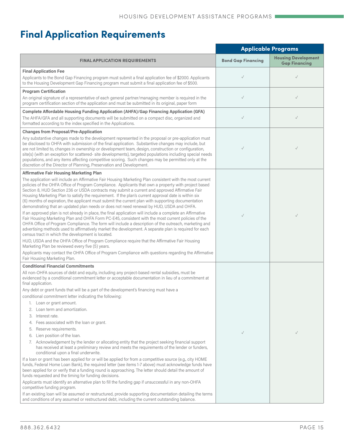# **Final Application Requirements**

|                                                                                                                                                                                                                                                                                                                                                                                                                                                                                                                                                                                                                                                                                                                                                                                                                                                                                                                                                                                                                                                                                                                                                                                                                                                                                                                                                                                                                                                                                                                                                                                                                                                | <b>Applicable Programs</b> |                                                    |
|------------------------------------------------------------------------------------------------------------------------------------------------------------------------------------------------------------------------------------------------------------------------------------------------------------------------------------------------------------------------------------------------------------------------------------------------------------------------------------------------------------------------------------------------------------------------------------------------------------------------------------------------------------------------------------------------------------------------------------------------------------------------------------------------------------------------------------------------------------------------------------------------------------------------------------------------------------------------------------------------------------------------------------------------------------------------------------------------------------------------------------------------------------------------------------------------------------------------------------------------------------------------------------------------------------------------------------------------------------------------------------------------------------------------------------------------------------------------------------------------------------------------------------------------------------------------------------------------------------------------------------------------|----------------------------|----------------------------------------------------|
| <b>FINAL APPLICATION REQUIREMENTS</b>                                                                                                                                                                                                                                                                                                                                                                                                                                                                                                                                                                                                                                                                                                                                                                                                                                                                                                                                                                                                                                                                                                                                                                                                                                                                                                                                                                                                                                                                                                                                                                                                          | <b>Bond Gap Financing</b>  | <b>Housing Development</b><br><b>Gap Financing</b> |
| <b>Final Application Fee</b><br>Applicants to the Bond Gap Financing program must submit a final application fee of \$2000. Applicants<br>to the Housing Development Gap Financing program must submit a final application fee of \$500.                                                                                                                                                                                                                                                                                                                                                                                                                                                                                                                                                                                                                                                                                                                                                                                                                                                                                                                                                                                                                                                                                                                                                                                                                                                                                                                                                                                                       | $\checkmark$               | $\checkmark$                                       |
| <b>Program Certification</b><br>An original signature of a representative of each general partner/managing member is required in the<br>program certification section of the application and must be submitted in its original, paper form                                                                                                                                                                                                                                                                                                                                                                                                                                                                                                                                                                                                                                                                                                                                                                                                                                                                                                                                                                                                                                                                                                                                                                                                                                                                                                                                                                                                     | $\checkmark$               | $\checkmark$                                       |
| Complete Affordable Housing Funding Application (AHFA)/Gap Financing Application (GFA)<br>The AHFA/GFA and all supporting documents will be submitted on a compact disc, organized and<br>formatted according to the index specified in the Applications.                                                                                                                                                                                                                                                                                                                                                                                                                                                                                                                                                                                                                                                                                                                                                                                                                                                                                                                                                                                                                                                                                                                                                                                                                                                                                                                                                                                      | $\checkmark$               | $\checkmark$                                       |
| <b>Changes from Proposal/Pre-Application</b><br>Any substantive changes made to the development represented in the proposal or pre-application must<br>be disclosed to OHFA with submission of the final application. Substantive changes may include, but<br>are not limited to, changes in ownership or development team, design, construction or configuration,<br>site(s) (with an exception for scattered- site developments), targeted populations including special needs<br>populations, and any items affecting competitive scoring. Such changes may be permitted only at the<br>discretion of the Director of Planning, Preservation and Development.                                                                                                                                                                                                                                                                                                                                                                                                                                                                                                                                                                                                                                                                                                                                                                                                                                                                                                                                                                               | $\checkmark$               |                                                    |
| <b>Affirmative Fair Housing Marketing Plan</b><br>The application will include an Affirmative Fair Housing Marketing Plan consistent with the most current<br>policies of the OHFA Office of Program Compliance. Applicants that own a property with project based<br>Section 8, HUD Section 236 or USDA contracts may submit a current and approved Affirmative Fair<br>Housing Marketing Plan to satisfy the requirement. If the plan's current approval date is within six<br>(6) months of expiration, the applicant must submit the current plan with supporting documentation<br>demonstrating that an updated plan needs or does not need renewal by HUD, USDA and OHFA.<br>If an approved plan is not already in place, the final application will include a complete an Affirmative<br>Fair Housing Marketing Plan and OHFA Form PC-E45, consistent with the most current policies of the<br>OHFA Office of Program Compliance. The form will include a description of the outreach, marketing and<br>advertising methods used to affirmatively market the development. A separate plan is required for each<br>census tract in which the development is located.<br>HUD, USDA and the OHFA Office of Program Compliance require that the Affirmative Fair Housing<br>Marketing Plan be reviewed every five (5) years.<br>Applicants may contact the OHFA Office of Program Compliance with questions regarding the Affirmative<br>Fair Housing Marketing Plan.                                                                                                                                                                       | $\checkmark$               | $\checkmark$                                       |
| <b>Conditional Financial Commitments</b><br>All non-OHFA sources of debt and equity, including any project-based rental subsidies, must be<br>evidenced by a conditional commitment letter or acceptable documentation in lieu of a commitment at<br>final application.<br>Any debt or grant funds that will be a part of the development's financing must have a<br>conditional commitment letter indicating the following:<br>Loan or grant amount.<br>1.<br>Loan term and amortization.<br>2.<br>Interest rate.<br>3.<br>Fees associated with the loan or grant.<br>4.<br>Reserve requirements.<br>5.<br>Lien position of the loan.<br>6.<br>Acknowledgement by the lender or allocating entity that the project seeking financial support<br>7.<br>has received at least a preliminary review and meets the requirements of the lender or funders,<br>conditional upon a final underwrite.<br>If a loan or grant has been applied for or will be applied for from a competitive source (e.g., city HOME<br>funds, Federal Home Loan Bank), the required letter (see items 1-7 above) must acknowledge funds have<br>been applied for or verify that a funding round is approaching. The letter should detail the amount of<br>funds requested and the timing for funding decisions.<br>Applicants must identify an alternative plan to fill the funding gap if unsuccessful in any non-OHFA<br>competitive funding program.<br>If an existing loan will be assumed or restructured, provide supporting documentation detailing the terms<br>and conditions of any assumed or restructured debt, including the current outstanding balance. | $\checkmark$               |                                                    |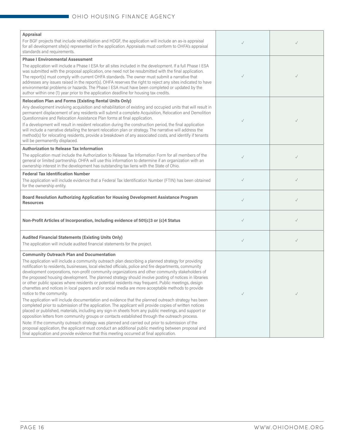| Appraisal<br>For BGF projects that include rehabilitation and HDGF, the application will include an as-is appraisal<br>for all development site(s) represented in the application. Appraisals must conform to OHFA's appraisal<br>standards and requirements.                                                                                                                                                                                                                                                                                                                                                                                                                                                                | $\checkmark$ |              |
|------------------------------------------------------------------------------------------------------------------------------------------------------------------------------------------------------------------------------------------------------------------------------------------------------------------------------------------------------------------------------------------------------------------------------------------------------------------------------------------------------------------------------------------------------------------------------------------------------------------------------------------------------------------------------------------------------------------------------|--------------|--------------|
| <b>Phase I Environmental Assessment</b>                                                                                                                                                                                                                                                                                                                                                                                                                                                                                                                                                                                                                                                                                      |              |              |
| The application will include a Phase I ESA for all sites included in the development. If a full Phase I ESA<br>was submitted with the proposal application, one need not be resubmitted with the final application.<br>The report(s) must comply with current OHFA standards. The owner must submit a narrative that<br>addresses any issues raised in the report(s). OHFA reserves the right to reject any sites indicated to have<br>environmental problems or hazards. The Phase I ESA must have been completed or updated by the<br>author within one (1) year prior to the application deadline for housing tax credits.                                                                                                | $\checkmark$ |              |
| <b>Relocation Plan and Forms (Existing Rental Units Only)</b>                                                                                                                                                                                                                                                                                                                                                                                                                                                                                                                                                                                                                                                                |              |              |
| Any development involving acquisition and rehabilitation of existing and occupied units that will result in<br>permanent displacement of any residents will submit a complete Acquisition, Relocation and Demolition<br>Questionnaire and Relocation Assistance Plan forms at final application.                                                                                                                                                                                                                                                                                                                                                                                                                             | $\checkmark$ |              |
| If a development will result in resident relocation during the construction period, the final application<br>will include a narrative detailing the tenant relocation plan or strategy. The narrative will address the<br>method(s) for relocating residents, provide a breakdown of any associated costs, and identify if tenants<br>will be permanently displaced.                                                                                                                                                                                                                                                                                                                                                         |              |              |
| <b>Authorization to Release Tax Information</b>                                                                                                                                                                                                                                                                                                                                                                                                                                                                                                                                                                                                                                                                              |              |              |
| The application must include the Authorization to Release Tax Information Form for all members of the<br>general or limited partnership. OHFA will use this information to determine if an organization with an<br>ownership interest in the development has outstanding tax liens with the State of Ohio.                                                                                                                                                                                                                                                                                                                                                                                                                   | $\checkmark$ | $\checkmark$ |
| <b>Federal Tax Identification Number</b>                                                                                                                                                                                                                                                                                                                                                                                                                                                                                                                                                                                                                                                                                     |              |              |
| The application will include evidence that a Federal Tax Identification Number (FTIN) has been obtained<br>for the ownership entity.                                                                                                                                                                                                                                                                                                                                                                                                                                                                                                                                                                                         | $\checkmark$ | $\checkmark$ |
| Board Resolution Authorizing Application for Housing Development Assistance Program<br><b>Resources</b>                                                                                                                                                                                                                                                                                                                                                                                                                                                                                                                                                                                                                      | $\checkmark$ | $\checkmark$ |
| Non-Profit Articles of Incorporation, Including evidence of 501(c)3 or (c)4 Status                                                                                                                                                                                                                                                                                                                                                                                                                                                                                                                                                                                                                                           | $\checkmark$ | $\checkmark$ |
| <b>Audited Financial Statements (Existing Units Only)</b><br>The application will include audited financial statements for the project.                                                                                                                                                                                                                                                                                                                                                                                                                                                                                                                                                                                      | $\checkmark$ | $\checkmark$ |
| <b>Community Outreach Plan and Documentation</b>                                                                                                                                                                                                                                                                                                                                                                                                                                                                                                                                                                                                                                                                             |              |              |
| The application will include a community outreach plan describing a planned strategy for providing<br>notification to residents, businesses, local elected officials, police and fire departments, community<br>development corporations, non-profit community organizations and other community stakeholders of<br>the proposed housing development. The planned strategy should involve posting of notices in libraries<br>or other public spaces where residents or potential residents may frequent. Public meetings, design<br>charrettes and notices in local papers and/or social media are more acceptable methods to provide<br>notice to the community.                                                            |              | $\checkmark$ |
| The application will include documentation and evidence that the planned outreach strategy has been<br>completed prior to submission of the application. The applicant will provide copies of written notices<br>placed or published, materials, including any sign-in sheets from any public meetings, and support or<br>opposition letters from community groups or contacts established through the outreach process.<br>Note: If the community outreach strategy was planned and carried out prior to submission of the<br>proposal application, the applicant must conduct an additional public meeting between proposal and<br>final application and provide evidence that this meeting occurred at final application. |              |              |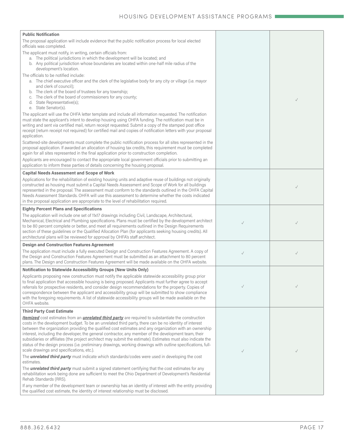| <b>Public Notification</b>                                                                                                                                                                                              |              |              |
|-------------------------------------------------------------------------------------------------------------------------------------------------------------------------------------------------------------------------|--------------|--------------|
| The proposal application will include evidence that the public notification process for local elected<br>officials was completed.                                                                                       |              |              |
| The applicant must notify, in writing, certain officials from:                                                                                                                                                          |              |              |
| a. The political jurisdictions in which the development will be located; and                                                                                                                                            |              |              |
| b. Any political jurisdiction whose boundaries are located within one-half mile radius of the<br>development's location.                                                                                                |              |              |
| The officials to be notified include:                                                                                                                                                                                   |              |              |
| a. The chief executive officer and the clerk of the legislative body for any city or village (i.e. mayor                                                                                                                |              |              |
| and clerk of council);<br>b. The clerk of the board of trustees for any township;                                                                                                                                       |              |              |
| The clerk of the board of commissioners for any county;                                                                                                                                                                 |              |              |
| d. State Representative(s);                                                                                                                                                                                             |              | $\checkmark$ |
| e. State Senator(s).                                                                                                                                                                                                    |              |              |
| The applicant will use the OHFA letter template and include all information requested. The notification<br>must state the applicant's intent to develop housing using OHFA funding. The notification must be in         |              |              |
| writing and sent via certified mail, return receipt requested. Submit a copy of the stamped post office                                                                                                                 |              |              |
| receipt (return receipt not required) for certified mail and copies of notification letters with your proposal                                                                                                          |              |              |
| application.                                                                                                                                                                                                            |              |              |
| Scattered-site developments must complete the public notification process for all sites represented in the<br>proposal application. If awarded an allocation of housing tax credits, this requirement must be completed |              |              |
| again for all sites represented in the final application prior to construction completion.                                                                                                                              |              |              |
| Applicants are encouraged to contact the appropriate local government officials prior to submitting an                                                                                                                  |              |              |
| application to inform these parties of details concerning the housing proposal.                                                                                                                                         |              |              |
| <b>Capital Needs Assessment and Scope of Work</b>                                                                                                                                                                       |              |              |
| Applications for the rehabilitation of existing housing units and adaptive reuse of buildings not originally<br>constructed as housing must submit a Capital Needs Assessment and Scope of Work for all buildings       |              |              |
| represented in the proposal. The assessment must conform to the standards outlined in the OHFA Capital                                                                                                                  |              |              |
| Needs Assessment Standards. OHFA will use this assessment to determine whether the costs indicated                                                                                                                      |              |              |
| in the proposal application are appropriate to the level of rehabilitation required.                                                                                                                                    |              |              |
| <b>Eighty Percent Plans and Specifications</b>                                                                                                                                                                          |              |              |
| The application will include one set of 11x17 drawings including Civil, Landscape, Architectural,                                                                                                                       |              |              |
| Mechanical, Electrical and Plumbing specifications. Plans must be certified by the development architect<br>to be 80 percent complete or better, and meet all requirements outlined in the Design Requirements          | $\checkmark$ |              |
| section of these guidelines or the Qualified Allocation Plan (for applicants seeking housing credits). All                                                                                                              |              |              |
| architectural plans will be reviewed for approval by OHFA's staff architect.                                                                                                                                            |              |              |
| <b>Design and Construction Features Agreement</b>                                                                                                                                                                       |              |              |
| The application must include a fully executed Design and Construction Features Agreement. A copy of<br>the Design and Construction Features Agreement must be submitted as an attachment to 80 percent                  | $\checkmark$ | $\checkmark$ |
| plans. The Design and Construction Features Agreement will be made available on the OHFA website.                                                                                                                       |              |              |
| <b>Notification to Statewide Accessibility Groups (New Units Only)</b>                                                                                                                                                  |              |              |
| Applicants proposing new construction must notify the applicable statewide accessibility group prior                                                                                                                    |              |              |
| to final application that accessible housing is being proposed. Applicants must further agree to accept                                                                                                                 |              |              |
| referrals for prospective residents, and consider design recommendations for the property. Copies of<br>correspondence between the applicant and accessibility group will be submitted to show compliance               |              |              |
| with the foregoing requirements. A list of statewide accessibility groups will be made available on the                                                                                                                 |              |              |
| OHFA website.                                                                                                                                                                                                           |              |              |
| <b>Third Party Cost Estimate</b>                                                                                                                                                                                        |              |              |
| Itemized cost estimates from an <i>unrelated third party</i> are required to substantiate the construction<br>costs in the development budget. To be an unrelated third party, there can be no identity of interest     |              |              |
| between the organization providing the qualified cost estimates and any organization with an ownership                                                                                                                  |              |              |
| interest, including the developer, the general contractor, any member of the development team, their                                                                                                                    |              |              |
| subsidiaries or affiliates (the project architect may submit the estimate). Estimates must also indicate the                                                                                                            |              |              |
| status of the design process (i.e. preliminary drawings, working drawings with outline specifications, full-<br>scale drawings and specifications, etc.).                                                               | $\checkmark$ | $\checkmark$ |
| The <b>unrelated third party</b> must indicate which standards/codes were used in developing the cost<br>estimates.                                                                                                     |              |              |
| The <b>unrelated third party</b> must submit a signed statement certifying that the cost estimates for any                                                                                                              |              |              |
| rehabilitation work being done are sufficient to meet the Ohio Department of Development's Residential<br>Rehab Standards (RRS).                                                                                        |              |              |
| If any member of the development team or ownership has an identity of interest with the entity providing                                                                                                                |              |              |
| the qualified cost estimate, the identity of interest relationship must be disclosed.                                                                                                                                   |              |              |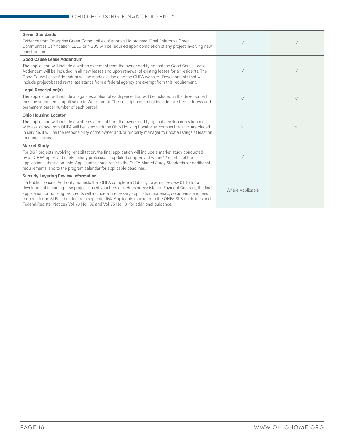| <b>Green Standards</b><br>Evidence from Enterprise Green Communities of approval to proceed. Final Enterprise Green<br>Communities Certification, LEED or NGBS will be required upon completion of any project involving new<br>construction.                                                                                                                                                                                                                                                                           |                  |  |
|-------------------------------------------------------------------------------------------------------------------------------------------------------------------------------------------------------------------------------------------------------------------------------------------------------------------------------------------------------------------------------------------------------------------------------------------------------------------------------------------------------------------------|------------------|--|
| <b>Good Cause Lease Addendum</b>                                                                                                                                                                                                                                                                                                                                                                                                                                                                                        |                  |  |
| The application will include a written statement from the owner certifying that the Good Cause Lease<br>Addendum will be included in all new leases and upon renewal of existing leases for all residents. The<br>Good Cause Lease Addendum will be made available on the OHFA website. Developments that will<br>include project-based rental assistance from a federal agency are exempt from this requirement.                                                                                                       | $\checkmark$     |  |
| <b>Legal Description(s)</b>                                                                                                                                                                                                                                                                                                                                                                                                                                                                                             |                  |  |
| The application will include a legal description of each parcel that will be included in the development<br>must be submitted at application in Word format. The description(s) must include the street address and<br>permanent parcel number of each parcel.                                                                                                                                                                                                                                                          | $\checkmark$     |  |
| <b>Ohio Housing Locator</b>                                                                                                                                                                                                                                                                                                                                                                                                                                                                                             |                  |  |
| The application will include a written statement from the owner certifying that developments financed<br>with assistance from OHFA will be listed with the Ohio Housing Locator, as soon as the units are placed<br>in service. It will be the responsibility of the owner and/or property manager to update listings at least on<br>an annual basis.                                                                                                                                                                   |                  |  |
| <b>Market Study</b>                                                                                                                                                                                                                                                                                                                                                                                                                                                                                                     |                  |  |
| For BGF projects involving rehabilitation, the final application will include a market study conducted<br>by an OHFA-approved market study professional updated or approved within 12 months of the<br>application submission date. Applicants should refer to the OHFA Market Study Standards for additional<br>requirements, and to the program calendar for applicable deadlines.                                                                                                                                    | $\checkmark$     |  |
| <b>Subsidy Layering Review Information</b>                                                                                                                                                                                                                                                                                                                                                                                                                                                                              |                  |  |
| If a Public Housing Authority requests that OHFA complete a Subsidy Layering Review (SLR) for a<br>development including new project-based vouchers or a Housing Assistance Payment Contract, the final<br>application for housing tax credits will include all necessary application materials, documents and fees<br>required for an SLR, submitted on a separate disk. Applicants may refer to the OHFA SLR guidelines and<br>Federal Register Notices Vol. 70 No. 187, and Vol. 75 No. 131 for additional quidance. | Where Applicable |  |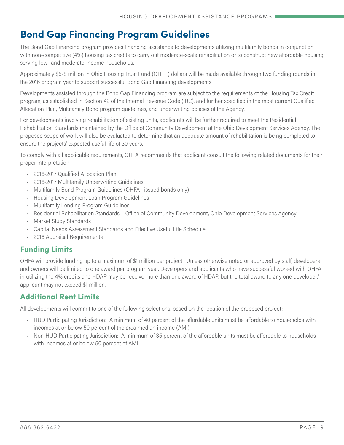# **Bond Gap Financing Program Guidelines**

The Bond Gap Financing program provides financing assistance to developments utilizing multifamily bonds in conjunction with non-competitive (4%) housing tax credits to carry out moderate-scale rehabilitation or to construct new affordable housing serving low- and moderate-income households.

Approximately \$5-8 million in Ohio Housing Trust Fund (OHTF) dollars will be made available through two funding rounds in the 2016 program year to support successful Bond Gap Financing developments.

Developments assisted through the Bond Gap Financing program are subject to the requirements of the Housing Tax Credit program, as established in Section 42 of the Internal Revenue Code (IRC), and further specified in the most current Qualified Allocation Plan, Multifamily Bond program guidelines, and underwriting policies of the Agency.

For developments involving rehabilitation of existing units, applicants will be further required to meet the Residential Rehabilitation Standards maintained by the Office of Community Development at the Ohio Development Services Agency. The proposed scope of work will also be evaluated to determine that an adequate amount of rehabilitation is being completed to ensure the projects' expected useful life of 30 years.

To comply with all applicable requirements, OHFA recommends that applicant consult the following related documents for their proper interpretation:

- 2016-2017 Qualified Allocation Plan
- 2016-2017 Multifamily Underwriting Guidelines
- Multifamily Bond Program Guidelines (OHFA –issued bonds only)
- Housing Development Loan Program Guidelines
- Multifamily Lending Program Guidelines
- [Residential Rehabilitation Standards Office of Community Development, Ohio Development Services Agency](https://development.ohio.gov/files/cs/RRS  2008.pdf)
- Market Study Standards
- Capital Needs Assessment Standards and Effective Useful Life Schedule
- 2016 Appraisal Requirements

# **Funding Limits**

OHFA will provide funding up to a maximum of \$1 million per project. Unless otherwise noted or approved by staff, developers and owners will be limited to one award per program year. Developers and applicants who have successful worked with OHFA in utilizing the 4% credits and HDAP may be receive more than one award of HDAP, but the total award to any one developer/ applicant may not exceed \$1 million.

### **Additional Rent Limits**

All developments will commit to one of the following selections, based on the location of the proposed project:

- HUD Participating Jurisdiction: A minimum of 40 percent of the affordable units must be affordable to households with incomes at or below 50 percent of the area median income (AMI)
- Non-HUD Participating Jurisdiction: A minimum of 35 percent of the affordable units must be affordable to households with incomes at or below 50 percent of AMI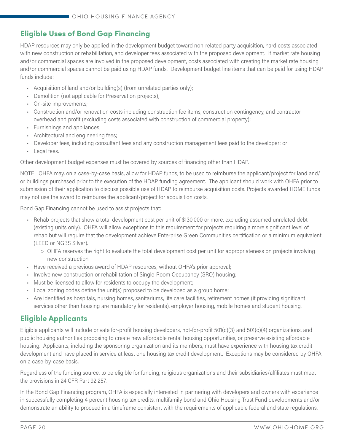# **Eligible Uses of Bond Gap Financing**

HDAP resources may only be applied in the development budget toward non-related party acquisition, hard costs associated with new construction or rehabilitation, and developer fees associated with the proposed development. If market rate housing and/or commercial spaces are involved in the proposed development, costs associated with creating the market rate housing and/or commercial spaces cannot be paid using HDAP funds. Development budget line items that can be paid for using HDAP funds include:

- Acquisition of land and/or building(s) (from unrelated parties only);
- Demolition (not applicable for Preservation projects);
- On-site improvements;
- Construction and/or renovation costs including construction fee items, construction contingency, and contractor overhead and profit (excluding costs associated with construction of commercial property);
- Furnishings and appliances;
- Architectural and engineering fees;
- Developer fees, including consultant fees and any construction management fees paid to the developer; or
- Legal fees.

Other development budget expenses must be covered by sources of financing other than HDAP.

NOTE: OHFA may, on a case-by-case basis, allow for HDAP funds, to be used to reimburse the applicant/project for land and/ or buildings purchased prior to the execution of the HDAP funding agreement. The applicant should work with OHFA prior to submission of their application to discuss possible use of HDAP to reimburse acquisition costs. Projects awarded HOME funds may not use the award to reimburse the applicant/project for acquisition costs.

Bond Gap Financing cannot be used to assist projects that:

- Rehab projects that show a total development cost per unit of \$130,000 or more, excluding assumed unrelated debt (existing units only). OHFA will allow exceptions to this requirement for projects requiring a more significant level of rehab but will require that the development achieve Enterprise Green Communities certification or a minimum equivalent (LEED or NGBS Silver).
	- OHFA reserves the right to evaluate the total development cost per unit for appropriateness on projects involving new construction.
- Have received a previous award of HDAP resources, without OHFA's prior approval;
- Involve new construction or rehabilitation of Single-Room Occupancy (SRO) housing;
- Must be licensed to allow for residents to occupy the development;
- Local zoning codes define the unit(s) proposed to be developed as a group home;
- Are identified as hospitals, nursing homes, sanitariums, life care facilities, retirement homes (if providing significant services other than housing are mandatory for residents), employer housing, mobile homes and student housing.

### **Eligible Applicants**

Eligible applicants will include private for-profit housing developers, not-for-profit 501(c)(3) and 501(c)(4) organizations, and public housing authorities proposing to create new affordable rental housing opportunities, or preserve existing affordable housing. Applicants, including the sponsoring organization and its members, must have experience with housing tax credit development and have placed in service at least one housing tax credit development. Exceptions may be considered by OHFA on a case-by-case basis.

Regardless of the funding source, to be eligible for funding, religious organizations and their subsidiaries/affiliates must meet the provisions in 24 CFR Part 92.257.

In the Bond Gap Financing program, OHFA is especially interested in partnering with developers and owners with experience in successfully completing 4 percent housing tax credits, multifamily bond and Ohio Housing Trust Fund developments and/or demonstrate an ability to proceed in a timeframe consistent with the requirements of applicable federal and state regulations.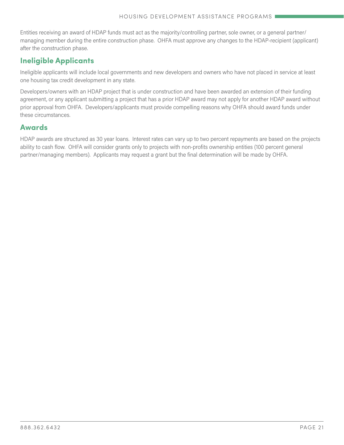Entities receiving an award of HDAP funds must act as the majority/controlling partner, sole owner, or a general partner/ managing member during the entire construction phase. OHFA must approve any changes to the HDAP-recipient (applicant) after the construction phase.

### **Ineligible Applicants**

Ineligible applicants will include local governments and new developers and owners who have not placed in service at least one housing tax credit development in any state.

Developers/owners with an HDAP project that is under construction and have been awarded an extension of their funding agreement, or any applicant submitting a project that has a prior HDAP award may not apply for another HDAP award without prior approval from OHFA. Developers/applicants must provide compelling reasons why OHFA should award funds under these circumstances.

### **Awards**

HDAP awards are structured as 30 year loans. Interest rates can vary up to two percent repayments are based on the projects ability to cash flow. OHFA will consider grants only to projects with non-profits ownership entities (100 percent general partner/managing members). Applicants may request a grant but the final determination will be made by OHFA.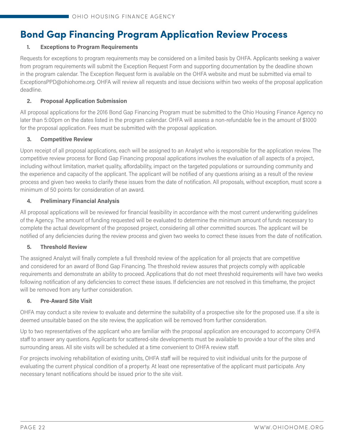# **Bond Gap Financing Program Application Review Process**

#### **1. Exceptions to Program Requirements**

Requests for exceptions to program requirements may be considered on a limited basis by OHFA. Applicants seeking a waiver from program requirements will submit the Exception Request Form and supporting documentation by the deadline shown in the program calendar. The Exception Request form is available on the OHFA website and must be submitted via email to [ExceptionsPPD@ohiohome.org](mailto:ExceptionsPPD%40ohiohome.org?subject=). OHFA will review all requests and issue decisions within two weeks of the proposal application deadline.

#### **2. Proposal Application Submission**

All proposal applications for the 2016 Bond Gap Financing Program must be submitted to the Ohio Housing Finance Agency no later than 5:00pm on the dates listed in the program calendar. OHFA will assess a non-refundable fee in the amount of \$1000 for the proposal application. Fees must be submitted with the proposal application.

#### **3. Competitive Review**

Upon receipt of all proposal applications, each will be assigned to an Analyst who is responsible for the application review. The competitive review process for Bond Gap Financing proposal applications involves the evaluation of all aspects of a project, including without limitation, market quality, affordability, impact on the targeted populations or surrounding community and the experience and capacity of the applicant. The applicant will be notified of any questions arising as a result of the review process and given two weeks to clarify these issues from the date of notification. All proposals, without exception, must score a minimum of 50 points for consideration of an award.

#### **4. Preliminary Financial Analysis**

All proposal applications will be reviewed for financial feasibility in accordance with the most current underwriting guidelines of the Agency. The amount of funding requested will be evaluated to determine the minimum amount of funds necessary to complete the actual development of the proposed project, considering all other committed sources. The applicant will be notified of any deficiencies during the review process and given two weeks to correct these issues from the date of notification.

#### **5. Threshold Review**

The assigned Analyst will finally complete a full threshold review of the application for all projects that are competitive and considered for an award of Bond Gap Financing. The threshold review assures that projects comply with applicable requirements and demonstrate an ability to proceed. Applications that do not meet threshold requirements will have two weeks following notification of any deficiencies to correct these issues. If deficiencies are not resolved in this timeframe, the project will be removed from any further consideration.

#### **6. Pre-Award Site Visit**

OHFA may conduct a site review to evaluate and determine the suitability of a prospective site for the proposed use. If a site is deemed unsuitable based on the site review, the application will be removed from further consideration.

Up to two representatives of the applicant who are familiar with the proposal application are encouraged to accompany OHFA staff to answer any questions. Applicants for scattered-site developments must be available to provide a tour of the sites and surrounding areas. All site visits will be scheduled at a time convenient to OHFA review staff.

For projects involving rehabilitation of existing units, OHFA staff will be required to visit individual units for the purpose of evaluating the current physical condition of a property. At least one representative of the applicant must participate. Any necessary tenant notifications should be issued prior to the site visit.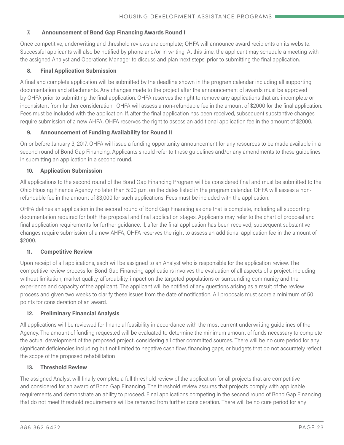#### **7. Announcement of Bond Gap Financing Awards Round I**

Once competitive, underwriting and threshold reviews are complete; OHFA will announce award recipients on its website. Successful applicants will also be notified by phone and/or in writing. At this time, the applicant may schedule a meeting with the assigned Analyst and Operations Manager to discuss and plan 'next steps' prior to submitting the final application.

#### **8. Final Application Submission**

A final and complete application will be submitted by the deadline shown in the program calendar including all supporting documentation and attachments. Any changes made to the project after the announcement of awards must be approved by OHFA prior to submitting the final application. OHFA reserves the right to remove any applications that are incomplete or inconsistent from further consideration. OHFA will assess a non-refundable fee in the amount of \$2000 for the final application. Fees must be included with the application. If, after the final application has been received, subsequent substantive changes require submission of a new AHFA, OHFA reserves the right to assess an additional application fee in the amount of \$2000.

#### **9. Announcement of Funding Availability for Round II**

On or before January 3, 2017, OHFA will issue a funding opportunity announcement for any resources to be made available in a second round of Bond Gap Financing. Applicants should refer to these guidelines and/or any amendments to these guidelines in submitting an application in a second round.

#### **10. Application Submission**

All applications to the second round of the Bond Gap Financing Program will be considered final and must be submitted to the Ohio Housing Finance Agency no later than 5:00 p.m. on the dates listed in the program calendar. OHFA will assess a nonrefundable fee in the amount of \$3,000 for such applications. Fees must be included with the application.

OHFA defines an application in the second round of Bond Gap Financing as one that is complete, including all supporting documentation required for both the proposal and final application stages. Applicants may refer to the chart of proposal and final application requirements for further guidance. If, after the final application has been received, subsequent substantive changes require submission of a new AHFA, OHFA reserves the right to assess an additional application fee in the amount of \$2000.

#### **11. Competitive Review**

Upon receipt of all applications, each will be assigned to an Analyst who is responsible for the application review. The competitive review process for Bond Gap Financing applications involves the evaluation of all aspects of a project, including without limitation, market quality, affordability, impact on the targeted populations or surrounding community and the experience and capacity of the applicant. The applicant will be notified of any questions arising as a result of the review process and given two weeks to clarify these issues from the date of notification. All proposals must score a minimum of 50 points for consideration of an award.

#### **12. Preliminary Financial Analysis**

All applications will be reviewed for financial feasibility in accordance with the most current underwriting guidelines of the Agency. The amount of funding requested will be evaluated to determine the minimum amount of funds necessary to complete the actual development of the proposed project, considering all other committed sources. There will be no cure period for any significant deficiencies including but not limited to negative cash flow, financing gaps, or budgets that do not accurately reflect the scope of the proposed rehabilitation

#### **13. Threshold Review**

The assigned Analyst will finally complete a full threshold review of the application for all projects that are competitive and considered for an award of Bond Gap Financing. The threshold review assures that projects comply with applicable requirements and demonstrate an ability to proceed. Final applications competing in the second round of Bond Gap Financing that do not meet threshold requirements will be removed from further consideration. There will be no cure period for any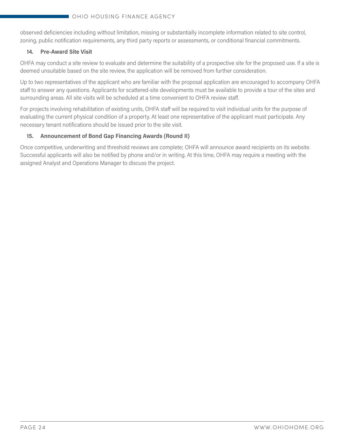observed deficiencies including without limitation, missing or substantially incomplete information related to site control, zoning, public notification requirements, any third party reports or assessments, or conditional financial commitments.

#### **14. Pre-Award Site Visit**

OHFA may conduct a site review to evaluate and determine the suitability of a prospective site for the proposed use. If a site is deemed unsuitable based on the site review, the application will be removed from further consideration.

Up to two representatives of the applicant who are familiar with the proposal application are encouraged to accompany OHFA staff to answer any questions. Applicants for scattered-site developments must be available to provide a tour of the sites and surrounding areas. All site visits will be scheduled at a time convenient to OHFA review staff.

For projects involving rehabilitation of existing units, OHFA staff will be required to visit individual units for the purpose of evaluating the current physical condition of a property. At least one representative of the applicant must participate. Any necessary tenant notifications should be issued prior to the site visit.

#### **15. Announcement of Bond Gap Financing Awards (Round II)**

Once competitive, underwriting and threshold reviews are complete; OHFA will announce award recipients on its website. Successful applicants will also be notified by phone and/or in writing. At this time, OHFA may require a meeting with the assigned Analyst and Operations Manager to discuss the project.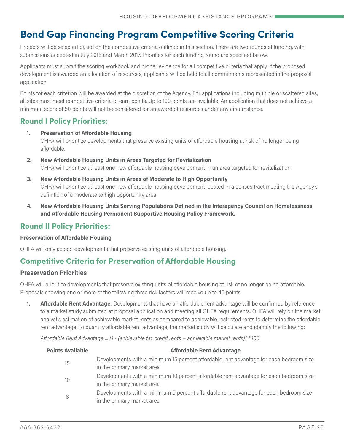# **Bond Gap Financing Program Competitive Scoring Criteria**

Projects will be selected based on the competitive criteria outlined in this section. There are two rounds of funding, with submissions accepted in July 2016 and March 2017. Priorities for each funding round are specified below.

Applicants must submit the scoring workbook and proper evidence for all competitive criteria that apply. If the proposed development is awarded an allocation of resources, applicants will be held to all commitments represented in the proposal application.

Points for each criterion will be awarded at the discretion of the Agency. For applications including multiple or scattered sites, all sites must meet competitive criteria to earn points. Up to 100 points are available. An application that does not achieve a minimum score of 50 points will not be considered for an award of resources under any circumstance.

# **Round I Policy Priorities:**

- **1. Preservation of Affordable Housing** OHFA will prioritize developments that preserve existing units of affordable housing at risk of no longer being affordable.
- **2. New Affordable Housing Units in Areas Targeted for Revitalization** OHFA will prioritize at least one new affordable housing development in an area targeted for revitalization.
- **3. New Affordable Housing Units in Areas of Moderate to High Opportunity** OHFA will prioritize at least one new affordable housing development located in a census tract meeting the Agency's definition of a moderate to high opportunity area.
- **4. New Affordable Housing Units Serving Populations Defined in the [Interagency Council on Homelessness](https://www.google.com/url?q=https://ohiohome.org/lihtc/PSH-policy.pdf&sa=U&ved=0ahUKEwj58rHB5uvLAhWDYw8KHS49AhQQFggEMAA&client=internal-uds-cse&usg=AFQjCNHtK8NF1cSSUtp3DJFTWQbv2jIyNA)  [and Affordable Housing Permanent Supportive Housing Policy Framework.](https://www.google.com/url?q=https://ohiohome.org/lihtc/PSH-policy.pdf&sa=U&ved=0ahUKEwj58rHB5uvLAhWDYw8KHS49AhQQFggEMAA&client=internal-uds-cse&usg=AFQjCNHtK8NF1cSSUtp3DJFTWQbv2jIyNA)**

### **Round II Policy Priorities:**

#### **Preservation of Affordable Housing**

OHFA will only accept developments that preserve existing units of affordable housing.

### **Competitive Criteria for Preservation of Affordable Housing**

#### **Preservation Priorities**

OHFA will prioritize developments that preserve existing units of affordable housing at risk of no longer being affordable. Proposals showing one or more of the following three risk factors will receive up to 45 points.

**1. Affordable Rent Advantage**: Developments that have an affordable rent advantage will be confirmed by reference to a market study submitted at proposal application and meeting all OHFA requirements. OHFA will rely on the market analyst's estimation of achievable market rents as compared to achievable restricted rents to determine the affordable rent advantage. To quantify affordable rent advantage, the market study will calculate and identify the following:

*Affordable Rent Advantage = [1 - (achievable tax credit rents ÷ achievable market rents)] \* 100*

| <b>Points Available</b> | <b>Affordable Rent Advantage</b>                                                                                      |
|-------------------------|-----------------------------------------------------------------------------------------------------------------------|
| 15                      | Developments with a minimum 15 percent affordable rent advantage for each bedroom size<br>in the primary market area. |
| 10                      | Developments with a minimum 10 percent affordable rent advantage for each bedroom size<br>in the primary market area. |
| 8                       | Developments with a minimum 5 percent affordable rent advantage for each bedroom size<br>in the primary market area.  |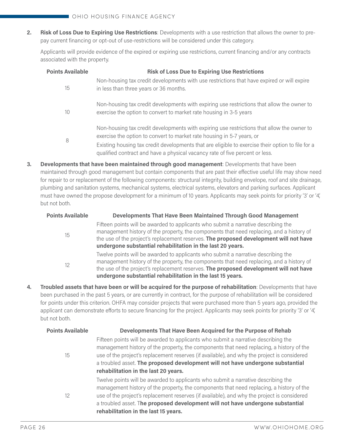**2. Risk of Loss Due to Expiring Use Restrictions**: Developments with a use restriction that allows the owner to prepay current financing or opt-out of use-restrictions will be considered under this category.

Applicants will provide evidence of the expired or expiring use restrictions, current financing and/or any contracts associated with the property.

| <b>Points Available</b> | <b>Risk of Loss Due to Expiring Use Restrictions</b>                                                                                                                                                                                                                                                                                                      |
|-------------------------|-----------------------------------------------------------------------------------------------------------------------------------------------------------------------------------------------------------------------------------------------------------------------------------------------------------------------------------------------------------|
| 15                      | Non-housing tax credit developments with use restrictions that have expired or will expire<br>in less than three years or 36 months.                                                                                                                                                                                                                      |
| 10                      | Non-housing tax credit developments with expiring use restrictions that allow the owner to<br>exercise the option to convert to market rate housing in 3-5 years                                                                                                                                                                                          |
| 8                       | Non-housing tax credit developments with expiring use restrictions that allow the owner to<br>exercise the option to convert to market rate housing in 5-7 years, or<br>Existing housing tax credit developments that are eligible to exercise their option to file for a<br>qualified contract and have a physical vacancy rate of five percent or less. |

**3. Developments that have been maintained through good management**: Developments that have been maintained through good management but contain components that are past their effective useful life may show need for repair to or replacement of the following components: structural integrity, building envelope, roof and site drainage, plumbing and sanitation systems, mechanical systems, electrical systems, elevators and parking surfaces. Applicant must have owned the propose development for a minimum of 10 years. Applicants may seek points for priority '3' or '4', but not both.

| <b>Points Available</b> | Developments That Have Been Maintained Through Good Management                                                                                                                                                                                                                                                                        |
|-------------------------|---------------------------------------------------------------------------------------------------------------------------------------------------------------------------------------------------------------------------------------------------------------------------------------------------------------------------------------|
| 15                      | Fifteen points will be awarded to applicants who submit a narrative describing the<br>management history of the property, the components that need replacing, and a history of<br>the use of the project's replacement reserves. The proposed development will not have<br>undergone substantial rehabilitation in the last 20 years. |
| 12                      | Twelve points will be awarded to applicants who submit a narrative describing the<br>management history of the property, the components that need replacing, and a history of<br>the use of the project's replacement reserves. The proposed development will not have<br>undergone substantial rehabilitation in the last 15 years.  |

**4. Troubled assets that have been or will be acquired for the purpose of rehabilitation**: Developments that have been purchased in the past 5 years, or are currently in contract, for the purpose of rehabilitation will be considered for points under this criterion. OHFA may consider projects that were purchased more than 5 years ago, provided the applicant can demonstrate efforts to secure financing for the project. Applicants may seek points for priority '3' or '4', but not both.

| <b>Points Available</b> | Developments That Have Been Acquired for the Purpose of Rehab                                                                                                                                                                                                                                                                                                   |
|-------------------------|-----------------------------------------------------------------------------------------------------------------------------------------------------------------------------------------------------------------------------------------------------------------------------------------------------------------------------------------------------------------|
| 15                      | Fifteen points will be awarded to applicants who submit a narrative describing the<br>management history of the property, the components that need replacing, a history of the<br>use of the project's replacement reserves (if available), and why the project is considered<br>a troubled asset. The proposed development will not have undergone substantial |
| $12 \overline{ }$       | rehabilitation in the last 20 years.<br>Twelve points will be awarded to applicants who submit a narrative describing the<br>management history of the property, the components that need replacing, a history of the                                                                                                                                           |
|                         | use of the project's replacement reserves (if available), and why the project is considered<br>a troubled asset. The proposed development will not have undergone substantial                                                                                                                                                                                   |
|                         | rehabilitation in the last 15 years.                                                                                                                                                                                                                                                                                                                            |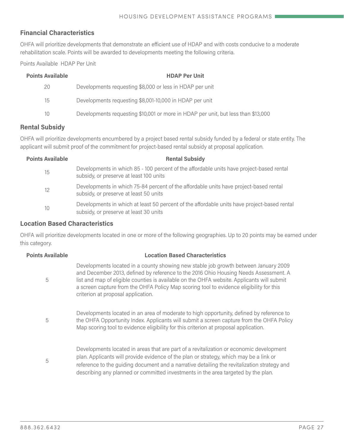#### **Financial Characteristics**

OHFA will prioritize developments that demonstrate an efficient use of HDAP and with costs conducive to a moderate rehabilitation scale. Points will be awarded to developments meeting the following criteria.

Points Available HDAP Per Unit

| <b>Points Available</b> | <b>HDAP Per Unit</b>                                                              |
|-------------------------|-----------------------------------------------------------------------------------|
| 20                      | Developments requesting \$8,000 or less in HDAP per unit                          |
| 15                      | Developments requesting \$8,001-10,000 in HDAP per unit                           |
| 10                      | Developments requesting \$10,001 or more in HDAP per unit, but less than \$13,000 |

#### **Rental Subsidy**

OHFA will prioritize developments encumbered by a project based rental subsidy funded by a federal or state entity. The applicant will submit proof of the commitment for project-based rental subsidy at proposal application.

| <b>Points Available</b> | <b>Rental Subsidy</b>                                                                                                                 |
|-------------------------|---------------------------------------------------------------------------------------------------------------------------------------|
| 15                      | Developments in which 85 - 100 percent of the affordable units have project-based rental<br>subsidy, or preserve at least 100 units   |
| 12                      | Developments in which 75-84 percent of the affordable units have project-based rental<br>subsidy, or preserve at least 50 units       |
| 10                      | Developments in which at least 50 percent of the affordable units have project-based rental<br>subsidy, or preserve at least 30 units |

#### **Location Based Characteristics**

OHFA will prioritize developments located in one or more of the following geographies. Up to 20 points may be earned under this category.

| <b>Points Available</b> | <b>Location Based Characteristics</b>                                                                                                                                                                                                                                                                                                                                                                      |
|-------------------------|------------------------------------------------------------------------------------------------------------------------------------------------------------------------------------------------------------------------------------------------------------------------------------------------------------------------------------------------------------------------------------------------------------|
| 5                       | Developments located in a county showing new stable job growth between January 2009<br>and December 2013, defined by reference to the 2016 Ohio Housing Needs Assessment. A<br>list and map of eligible counties is available on the OHFA website. Applicants will submit<br>a screen capture from the OHFA Policy Map scoring tool to evidence eligibility for this<br>criterion at proposal application. |
| 5                       | Developments located in an area of moderate to high opportunity, defined by reference to<br>the OHFA Opportunity Index. Applicants will submit a screen capture from the OHFA Policy<br>Map scoring tool to evidence eligibility for this criterion at proposal application.                                                                                                                               |
| 5                       | Developments located in areas that are part of a revitalization or economic development<br>plan. Applicants will provide evidence of the plan or strategy, which may be a link or<br>reference to the guiding document and a narrative detailing the revitalization strategy and<br>describing any planned or committed investments in the area targeted by the plan.                                      |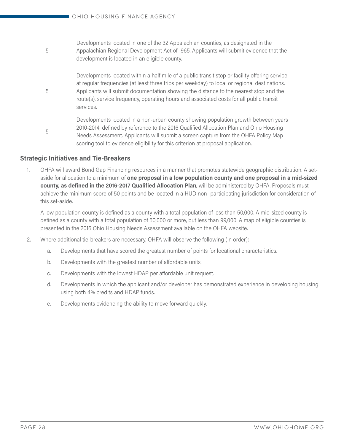Developments located in one of the 32 Appalachian counties, as designated in the Appalachian Regional Development Act of 1965. Applicants will submit evidence that the development is located in an eligible county.

Developments located within a half mile of a public transit stop or facility offering service at regular frequencies (at least three trips per weekday) to local or regional destinations. Applicants will submit documentation showing the distance to the nearest stop and the route(s), service frequency, operating hours and associated costs for all public transit services.

Developments located in a non-urban county showing population growth between years 2010-2014, defined by reference to the 2016 Qualified Allocation Plan and Ohio Housing Needs Assessment. Applicants will submit a screen capture from the OHFA Policy Map scoring tool to evidence eligibility for this criterion at proposal application.

#### **Strategic Initiatives and Tie-Breakers**

5

5

5

1. OHFA will award Bond Gap Financing resources in a manner that promotes statewide geographic distribution. A setaside for allocation to a minimum of **one proposal in a low population county and one proposal in a mid-sized county, as defined in the 2016-2017 Qualified Allocation Plan**, will be administered by OHFA. Proposals must achieve the minimum score of 50 points and be located in a HUD non- participating jurisdiction for consideration of this set-aside.

A low population county is defined as a county with a total population of less than 50,000. A mid-sized county is defined as a county with a total population of 50,000 or more, but less than 99,000. A map of eligible counties is presented in the 2016 Ohio Housing Needs Assessment available on the OHFA website.

- 2. Where additional tie-breakers are necessary, OHFA will observe the following (in order):
	- a. Developments that have scored the greatest number of points for locational characteristics.
	- b. Developments with the greatest number of affordable units.
	- c. Developments with the lowest HDAP per affordable unit request.
	- d. Developments in which the applicant and/or developer has demonstrated experience in developing housing using both 4% credits and HDAP funds.
	- e. Developments evidencing the ability to move forward quickly.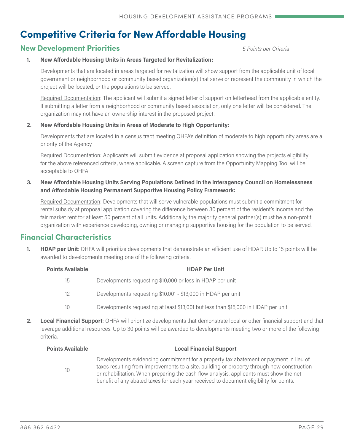# **Competitive Criteria for New Affordable Housing**

### **New Development Priorities** *5 Points per Criteria*

#### **1. New Affordable Housing Units in Areas Targeted for Revitalization:**

Developments that are located in areas targeted for revitalization will show support from the applicable unit of local government or neighborhood or community based organization(s) that serve or represent the community in which the project will be located, or the populations to be served.

Required Documentation: The applicant will submit a signed letter of support on letterhead from the applicable entity. If submitting a letter from a neighborhood or community based association, only one letter will be considered. The organization may not have an ownership interest in the proposed project.

#### **2. New Affordable Housing Units in Areas of Moderate to High Opportunity:**

Developments that are located in a census tract meeting OHFA's definition of moderate to high opportunity areas are a priority of the Agency.

Required Documentation: Applicants will submit evidence at proposal application showing the projects eligibility for the above referenced criteria, where applicable. A screen capture from the [Opportunity Mapping Tool](http://ohiohome.org/ppd/opportunitymap.aspx) will be acceptable to OHFA.

#### **3. New Affordable Housing Units Serving Populations Defined in the [Interagency Council on Homelessness](https://www.google.com/url?q=https://ohiohome.org/lihtc/PSH-policy.pdf&sa=U&ved=0ahUKEwj58rHB5uvLAhWDYw8KHS49AhQQFggEMAA&client=internal-uds-cse&usg=AFQjCNHtK8NF1cSSUtp3DJFTWQbv2jIyNA)  [and Affordable Housing Permanent Supportive Housing Policy Framework:](https://www.google.com/url?q=https://ohiohome.org/lihtc/PSH-policy.pdf&sa=U&ved=0ahUKEwj58rHB5uvLAhWDYw8KHS49AhQQFggEMAA&client=internal-uds-cse&usg=AFQjCNHtK8NF1cSSUtp3DJFTWQbv2jIyNA)**

Required Documentation: Developments that will serve vulnerable populations must submit a commitment for rental subsidy at proposal application covering the difference between 30 percent of the resident's income and the fair market rent for at least 50 percent of all units. Additionally, the majority general partner(s) must be a non-profit organization with experience developing, owning or managing supportive housing for the population to be served.

### **Financial Characteristics**

**1. HDAP per Unit**: OHFA will prioritize developments that demonstrate an efficient use of HDAP. Up to 15 points will be awarded to developments meeting one of the following criteria.

| <b>Points Available</b> | <b>HDAP Per Unit</b>                                                              |
|-------------------------|-----------------------------------------------------------------------------------|
| 15                      | Developments requesting \$10,000 or less in HDAP per unit                         |
| 12                      | Developments requesting \$10,001 - \$13,000 in HDAP per unit                      |
| 10                      | Developments requesting at least \$13,001 but less than \$15,000 in HDAP per unit |
|                         |                                                                                   |

**2. Local Financial Support**: OHFA will prioritize developments that demonstrate local or other financial support and that leverage additional resources. Up to 30 points will be awarded to developments meeting two or more of the following criteria.

| <b>Points Available</b> | <b>Local Financial Support</b>                                                                                                                                                                                                                                                                                                                                          |
|-------------------------|-------------------------------------------------------------------------------------------------------------------------------------------------------------------------------------------------------------------------------------------------------------------------------------------------------------------------------------------------------------------------|
| 10                      | Developments evidencing commitment for a property tax abatement or payment in lieu of<br>taxes resulting from improvements to a site, building or property through new construction<br>or rehabilitation. When preparing the cash flow analysis, applicants must show the net<br>benefit of any abated taxes for each year received to document eligibility for points. |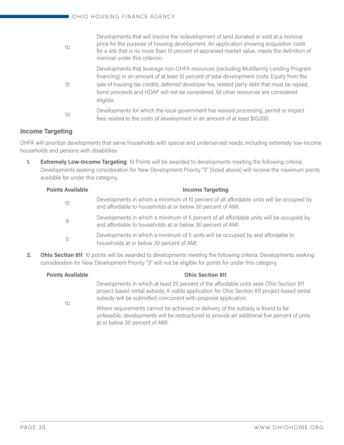| 10 | Developments that will involve the redevelopment of land donated or sold at a nominal<br>price for the purpose of housing development. An application showing acquisition costs<br>for a site that is no more than 10 percent of appraised market value, meets the definition of<br>nominal under this criterion.                                                                    |
|----|--------------------------------------------------------------------------------------------------------------------------------------------------------------------------------------------------------------------------------------------------------------------------------------------------------------------------------------------------------------------------------------|
| 10 | Developments that leverage non-OHFA resources (excluding Multifamily Lending Program<br>financing) in an amount of at least 10 percent of total development costs. Equity from the<br>sale of housing tax credits, deferred developer fee, related party debt that must be repaid,<br>bond proceeds and HDAP will not be considered. All other resources are considered<br>eligible. |
| 10 | Developments for which the local government has waived processing, permit or impact<br>fees related to the costs of development in an amount of at least \$10,000.                                                                                                                                                                                                                   |

### **Income Targeting**

OHFA will prioritize developments that serve households with special and underserved needs, including extremely low-income households and persons with disabilities.

**1. Extremely Low-Income Targeting**: 10 Points will be awarded to developments meeting the following criteria. Developments seeking consideration for New Development Priority "3" (listed above) will receive the maximum points available for under this category.

| <b>Points Available</b> | <b>Income Targeting</b>                                                                                                                                  |
|-------------------------|----------------------------------------------------------------------------------------------------------------------------------------------------------|
| 10                      | Developments in which a minimum of 10 percent of all affordable units will be occupied by<br>and affordable to households at or below 30 percent of AMI. |
| 8                       | Developments in which a minimum of 5 percent of all affordable units will be occupied by<br>and affordable to households at or below 30 percent of AMI.  |
| 5                       | Developments in which a minimum of 5 units will be occupied by and affordable to<br>households at or below 30 percent of AMI.                            |

**2. Ohio Section 811**: 10 points will be awarded to developments meeting the following criteria. Developments seeking consideration for New Development Priority "3" will not be eligible for points for under this category.

| <b>Points Available</b> | <b>Ohio Section 811</b>                                                                                                                                                                                                                                    |
|-------------------------|------------------------------------------------------------------------------------------------------------------------------------------------------------------------------------------------------------------------------------------------------------|
| 10                      | Developments in which at least 25 percent of the affordable units seek Ohio Section 811<br>project-based rental subsidy. A viable application for Ohio Section 811 project-based rental<br>subsidy will be submitted concurrent with proposal application. |
|                         | Where requirements cannot be achieved or delivery of the subsidy is found to be<br>unfeasible, developments will be restructured to provide an additional five percent of units<br>at or below 30 percent of AMI.                                          |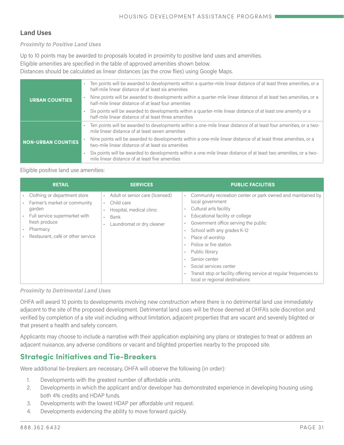#### **Land Uses**

#### *Proximity to Positive Land Uses*

Up to 10 points may be awarded to proposals located in proximity to positive land uses and amenities.

Eligible amenities are specified in the table of approved amenities shown below.

Distances should be calculated as linear distances (as the crow flies) using Google Maps.

|                           | Ten points will be awarded to developments within a quarter-mile linear distance of at least three amenities, or a<br>half-mile linear distance of at least six amenities   |
|---------------------------|-----------------------------------------------------------------------------------------------------------------------------------------------------------------------------|
| <b>URBAN COUNTIES</b>     | - Nine points will be awarded to developments within a quarter-mile linear distance of at least two amenities, or a<br>half-mile linear distance of at least four amenities |
|                           | Six points will be awarded to developments within a quarter-mile linear distance of at least one amenity or a<br>half-mile linear distance of at least three amenities      |
|                           | - Ten points will be awarded to developments within a one-mile linear distance of at least four amenities, or a two-<br>mile linear distance of at least seven amenities    |
| <b>NON-URBAN COUNTIES</b> | Nine points will be awarded to developments within a one-mile linear distance of at least three amenities, or a<br>two-mile linear distance of at least six amenities       |
|                           | Six points will be awarded to developments within a one-mile linear distance of at least two amenities, or a two-<br>mile linear distance of at least five amenities        |

#### Eligible positive land use amenities:

| <b>RETAIL</b>                                                                                                                                                             | <b>SERVICES</b>                                                                                                | <b>PUBLIC FACILITIES</b>                                                                                                                                                                                                                                                                                                                                                                                                                                          |
|---------------------------------------------------------------------------------------------------------------------------------------------------------------------------|----------------------------------------------------------------------------------------------------------------|-------------------------------------------------------------------------------------------------------------------------------------------------------------------------------------------------------------------------------------------------------------------------------------------------------------------------------------------------------------------------------------------------------------------------------------------------------------------|
| Clothing or department store<br>Farmer's market or community<br>garden<br>Full service supermarket with<br>fresh produce<br>Pharmacy<br>Restaurant, café or other service | Adult or senior care (licensed)<br>Child care<br>Hospital, medical clinic<br>Bank<br>Laundromat or dry cleaner | Community recreation center or park owned and maintained by<br>$\epsilon$<br>local government<br>Cultural arts facility<br>х.<br>Educational facility or college<br>Government office serving the public<br>School with any grades K-12<br>Place of worship<br>л.<br>Police or fire station<br>Public library<br>Senior center<br>Social services center<br>Transit stop or facility offering service at regular frequencies to<br>local or regional destinations |

*Proximity to Detrimental Land Uses*

OHFA will award 10 points to developments involving new construction where there is no detrimental land use immediately adjacent to the site of the proposed development. Detrimental land uses will be those deemed at OHFA's sole discretion and verified by completion of a site visit including without limitation, adjacent properties that are vacant and severely blighted or that present a health and safety concern.

Applicants may choose to include a narrative with their application explaining any plans or strategies to treat or address an adjacent nuisance, any adverse conditions or vacant and blighted properties nearby to the proposed site.

# **Strategic Initiatives and Tie-Breakers**

Were additional tie-breakers are necessary, OHFA will observe the following (in order):

- 1. Developments with the greatest number of affordable units.
- 2. Developments in which the applicant and/or developer has demonstrated experience in developing housing using both 4% credits and HDAP funds.
- 3. Developments with the lowest HDAP per affordable unit request.
- 4. Developments evidencing the ability to move forward quickly.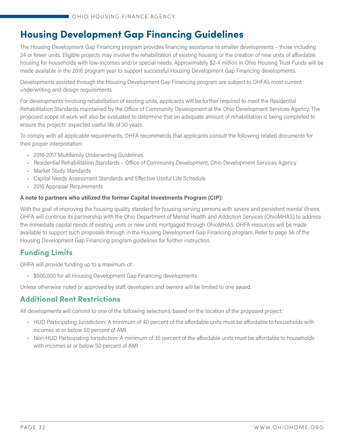# **Housing Development Gap Financing Guidelines**

The Housing Development Gap Financing program provides financing assistance to smaller developments – those including 24 or fewer units. Eligible projects may involve the rehabilitation of existing housing or the creation of new units of affordable housing for households with low-incomes and/or special needs. Approximately \$2-4 million in Ohio Housing Trust Funds will be made available in the 2016 program year to support successful Housing Development Gap Financing developments.

Developments assisted through the Housing Development Gap Financing program are subject to OHFA's most current underwriting and design requirements

For developments involving rehabilitation of existing units, applicants will be further required to meet the Residential Rehabilitation Standards maintained by the Office of Community Development at the Ohio Development Services Agency. The proposed scope of work will also be evaluated to determine that an adequate amount of rehabilitation is being completed to ensure the projects' expected useful life of 30 years.

To comply with all applicable requirements, OHFA recommends that applicants consult the following related documents for their proper interpretation:

- 2016-2017 Multifamily Underwriting Guidelines
- [Residential Rehabilitation Standards Office of Community Development, Ohio Development Services Agency](https://development.ohio.gov/files/cs/RRS  2008.pdf)
- Market Study Standards
- Capital Needs Assessment Standards and Effective Useful Life Schedule
- 2016 Appraisal Requirements

#### **A note to partners who utilized the former Capital Investments Program (CIP):**

With the goal of improving the housing quality standard for housing serving persons with severe and persistent mental illness, OHFA will continue its partnership with the Ohio Department of Mental Health and Addiction Services (OhioMHAS) to address the immediate capital needs of existing units or new units mortgaged through OhioMHAS. OHFA resources will be made available to support such proposals through in the Housing Development Gap Financing program. Refer to page 56 of the Housing Development Gap Financing program guidelines for further instruction.

# **Funding Limits**

OHFA will provide funding up to a maximum of:

• \$500,000 for all Housing Development Gap Financing developments

Unless otherwise noted or approved by staff, developers and owners will be limited to one award.

# **Additional Rent Restrictions**

All developments will commit to one of the following selections, based on the location of the proposed project:

- HUD Participating Jurisdiction: A minimum of 40 percent of the affordable units must be affordable to households with incomes at or below 50 percent of AMI
- Non-HUD Participating Jurisdiction: A minimum of 35 percent of the affordable units must be affordable to households with incomes at or below 50 percent of AMI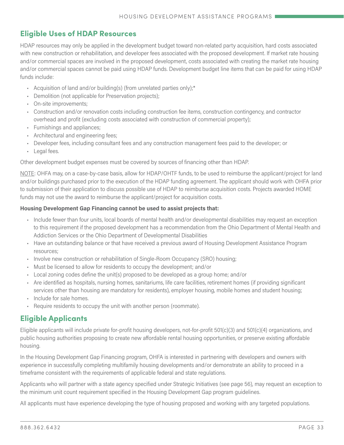### **Eligible Uses of HDAP Resources**

HDAP resources may only be applied in the development budget toward non-related party acquisition, hard costs associated with new construction or rehabilitation, and developer fees associated with the proposed development. If market rate housing and/or commercial spaces are involved in the proposed development, costs associated with creating the market rate housing and/or commercial spaces cannot be paid using HDAP funds. Development budget line items that can be paid for using HDAP funds include:

- Acquisition of land and/or building(s) (from unrelated parties only);\*
- Demolition (not applicable for Preservation projects);
- On-site improvements;
- Construction and/or renovation costs including construction fee items, construction contingency, and contractor overhead and profit (excluding costs associated with construction of commercial property);
- Furnishings and appliances;
- Architectural and engineering fees;
- Developer fees, including consultant fees and any construction management fees paid to the developer; or
- Legal fees.

Other development budget expenses must be covered by sources of financing other than HDAP.

NOTE: OHFA may, on a case-by-case basis, allow for HDAP/OHTF funds, to be used to reimburse the applicant/project for land and/or buildings purchased prior to the execution of the HDAP funding agreement. The applicant should work with OHFA prior to submission of their application to discuss possible use of HDAP to reimburse acquisition costs. Projects awarded HOME funds may not use the award to reimburse the applicant/project for acquisition costs.

#### **Housing Development Gap Financing cannot be used to assist projects that:**

- Include fewer than four units, local boards of mental health and/or developmental disabilities may request an exception to this requirement if the proposed development has a recommendation from the Ohio Department of Mental Health and Addiction Services or the Ohio Department of Developmental Disabilities
- Have an outstanding balance or that have received a previous award of Housing Development Assistance Program resources;
- Involve new construction or rehabilitation of Single-Room Occupancy (SRO) housing;
- Must be licensed to allow for residents to occupy the development; and/or
- Local zoning codes define the unit(s) proposed to be developed as a group home; and/or
- Are identified as hospitals, nursing homes, sanitariums, life care facilities, retirement homes (if providing significant services other than housing are mandatory for residents), employer housing, mobile homes and student housing;
- Include for sale homes.
- Require residents to occupy the unit with another person (roommate).

### **Eligible Applicants**

Eligible applicants will include private for-profit housing developers, not-for-profit 501(c)(3) and 501(c)(4) organizations, and public housing authorities proposing to create new affordable rental housing opportunities, or preserve existing affordable housing.

In the Housing Development Gap Financing program, OHFA is interested in partnering with developers and owners with experience in successfully completing multifamily housing developments and/or demonstrate an ability to proceed in a timeframe consistent with the requirements of applicable federal and state regulations.

Applicants who will partner with a state agency specified under Strategic Initiatives (see page 56), may request an exception to the minimum unit count requirement specified in the Housing Development Gap program guidelines.

All applicants must have experience developing the type of housing proposed and working with any targeted populations.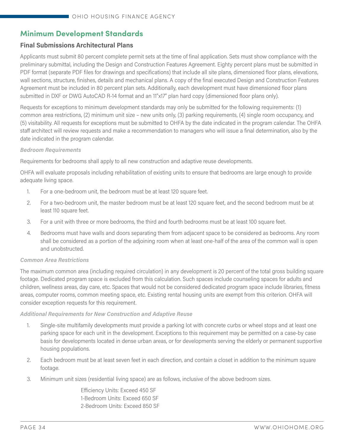# **Minimum Development Standards**

#### **Final Submissions Architectural Plans**

Applicants must submit 80 percent complete permit sets at the time of final application. Sets must show compliance with the preliminary submittal, including the Design and Construction Features Agreement. Eighty percent plans must be submitted in PDF format (separate PDF files for drawings and specifications) that include all site plans, dimensioned floor plans, elevations, wall sections, structure, finishes, details and mechanical plans. A copy of the final executed Design and Construction Features Agreement must be included in 80 percent plan sets. Additionally, each development must have dimensioned floor plans submitted in DXF or DWG AutoCAD R-14 format and an 11"x17" plan hard copy (dimensioned floor plans only).

Requests for exceptions to minimum development standards may only be submitted for the following requirements: (1) common area restrictions, (2) minimum unit size – new units only, (3) parking requirements, (4) single room occupancy, and (5) visitability. All requests for exceptions must be submitted to OHFA by the date indicated in the program calendar. The OHFA staff architect will review requests and make a recommendation to managers who will issue a final determination, also by the date indicated in the program calendar.

#### *Bedroom Requirements*

Requirements for bedrooms shall apply to all new construction and adaptive reuse developments.

OHFA will evaluate proposals including rehabilitation of existing units to ensure that bedrooms are large enough to provide adequate living space.

- 1. For a one-bedroom unit, the bedroom must be at least 120 square feet.
- 2. For a two-bedroom unit, the master bedroom must be at least 120 square feet, and the second bedroom must be at least 110 square feet.
- 3. For a unit with three or more bedrooms, the third and fourth bedrooms must be at least 100 square feet.
- 4. Bedrooms must have walls and doors separating them from adjacent space to be considered as bedrooms. Any room shall be considered as a portion of the adjoining room when at least one-half of the area of the common wall is open and unobstructed.

#### *Common Area Restrictions*

The maximum common area (including required circulation) in any development is 20 percent of the total gross building square footage. Dedicated program space is excluded from this calculation. Such spaces include counseling spaces for adults and children, wellness areas, day care, etc. Spaces that would not be considered dedicated program space include libraries, fitness areas, computer rooms, common meeting space, etc. Existing rental housing units are exempt from this criterion. OHFA will consider exception requests for this requirement.

#### *Additional Requirements for New Construction and Adaptive Reuse*

- 1. Single-site multifamily developments must provide a parking lot with concrete curbs or wheel stops and at least one parking space for each unit in the development. Exceptions to this requirement may be permitted on a case-by case basis for developments located in dense urban areas, or for developments serving the elderly or permanent supportive housing populations.
- 2. Each bedroom must be at least seven feet in each direction, and contain a closet in addition to the minimum square footage.
- 3. Minimum unit sizes (residential living space) are as follows, inclusive of the above bedroom sizes.

 Efficiency Units: Exceed 450 SF 1-Bedroom Units: Exceed 650 SF 2-Bedroom Units: Exceed 850 SF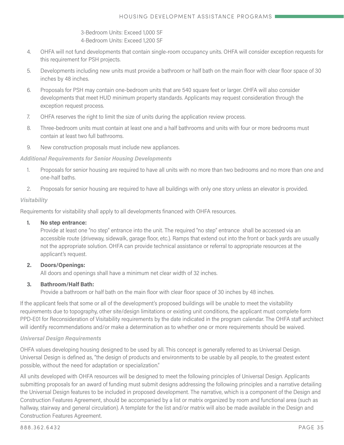3-Bedroom Units: Exceed 1,000 SF

4-Bedroom Units: Exceed 1,200 SF

- 4. OHFA will not fund developments that contain single-room occupancy units. OHFA will consider exception requests for this requirement for PSH projects.
- 5. Developments including new units must provide a bathroom or half bath on the main floor with clear floor space of 30 inches by 48 inches.
- 6. Proposals for PSH may contain one-bedroom units that are 540 square feet or larger. OHFA will also consider developments that meet HUD minimum property standards. Applicants may request consideration through the exception request process.
- 7. OHFA reserves the right to limit the size of units during the application review process.
- 8. Three-bedroom units must contain at least one and a half bathrooms and units with four or more bedrooms must contain at least two full bathrooms.
- 9. New construction proposals must include new appliances.

#### *Additional Requirements for Senior Housing Developments*

- 1. Proposals for senior housing are required to have all units with no more than two bedrooms and no more than one and one-half baths.
- 2. Proposals for senior housing are required to have all buildings with only one story unless an elevator is provided.

#### *Visitability*

Requirements for visitability shall apply to all developments financed with OHFA resources.

#### **1. No step entrance:**

Provide at least one "no step" entrance into the unit. The required "no step" entrance shall be accessed via an accessible route (driveway, sidewalk, garage floor, etc.). Ramps that extend out into the front or back yards are usually not the appropriate solution. OHFA can provide technical assistance or referral to appropriate resources at the applicant's request.

#### **2. Doors/Openings:**

All doors and openings shall have a minimum net clear width of 32 inches.

#### **3. Bathroom/Half Bath:**

Provide a bathroom or half bath on the main floor with clear floor space of 30 inches by 48 inches.

If the applicant feels that some or all of the development's proposed buildings will be unable to meet the visitability requirements due to topography, other site/design limitations or existing unit conditions, the applicant must complete form PPD-E01 for Reconsideration of Visitability requirements by the date indicated in the program calendar. The OHFA staff architect will identify recommendations and/or make a determination as to whether one or more requirements should be waived.

#### *Universal Design Requirements*

OHFA values developing housing designed to be used by all. This concept is generally referred to as Universal Design. Universal Design is defined as, "the design of products and environments to be usable by all people, to the greatest extent possible, without the need for adaptation or specialization."

All units developed with OHFA resources will be designed to meet the following principles of Universal Design. Applicants submitting proposals for an award of funding must submit designs addressing the following principles and a narrative detailing the Universal Design features to be included in proposed development. The narrative, which is a component of the Design and Construction Features Agreement, should be accompanied by a list or matrix organized by room and functional area (such as hallway, stairway and general circulation). A template for the list and/or matrix will also be made available in the Design and Construction Features Agreement.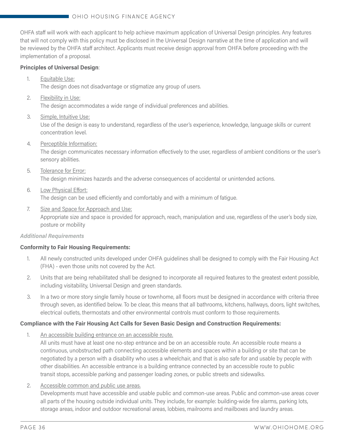OHFA staff will work with each applicant to help achieve maximum application of Universal Design principles. Any features that will not comply with this policy must be disclosed in the Universal Design narrative at the time of application and will be reviewed by the OHFA staff architect. Applicants must receive design approval from OHFA before proceeding with the implementation of a proposal.

#### **Principles of Universal Design**:

1. Equitable Use:

The design does not disadvantage or stigmatize any group of users.

2. Flexibility in Use:

The design accommodates a wide range of individual preferences and abilities.

3. Simple, Intuitive Use:

Use of the design is easy to understand, regardless of the user's experience, knowledge, language skills or current concentration level.

4. Perceptible Information:

The design communicates necessary information effectively to the user, regardless of ambient conditions or the user's sensory abilities.

5. Tolerance for Error:

The design minimizes hazards and the adverse consequences of accidental or unintended actions.

6. Low Physical Effort:

The design can be used efficiently and comfortably and with a minimum of fatigue.

7. Size and Space for Approach and Use:

Appropriate size and space is provided for approach, reach, manipulation and use, regardless of the user's body size, posture or mobility

#### *Additional Requirements*

#### **Conformity to Fair Housing Requirements:**

- 1. All newly constructed units developed under OHFA guidelines shall be designed to comply with the Fair Housing Act (FHA) - even those units not covered by the Act.
- 2. Units that are being rehabilitated shall be designed to incorporate all required features to the greatest extent possible, including visitability, Universal Design and green standards.
- 3. In a two or more story single family house or townhome, all floors must be designed in accordance with criteria three through seven, as identified below. To be clear, this means that all bathrooms, kitchens, hallways, doors, light switches, electrical outlets, thermostats and other environmental controls must conform to those requirements.

#### **Compliance with the Fair Housing Act Calls for Seven Basic Design and Construction Requirements:**

1. An accessible building entrance on an accessible route.

All units must have at least one no-step entrance and be on an accessible route. An accessible route means a continuous, unobstructed path connecting accessible elements and spaces within a building or site that can be negotiated by a person with a disability who uses a wheelchair, and that is also safe for and usable by people with other disabilities. An accessible entrance is a building entrance connected by an accessible route to public transit stops, accessible parking and passenger loading zones, or public streets and sidewalks.

2. Accessible common and public use areas.

Developments must have accessible and usable public and common-use areas. Public and common-use areas cover all parts of the housing outside individual units. They include, for example: building-wide fire alarms, parking lots, storage areas, indoor and outdoor recreational areas, lobbies, mailrooms and mailboxes and laundry areas.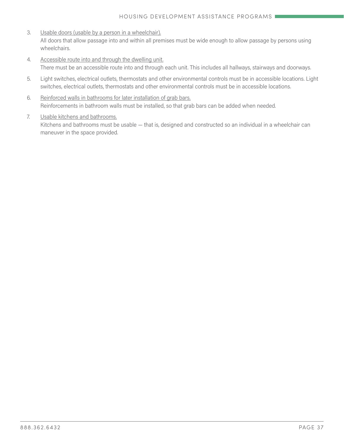- 3. Usable doors (usable by a person in a wheelchair). All doors that allow passage into and within all premises must be wide enough to allow passage by persons using wheelchairs.
- 4. Accessible route into and through the dwelling unit. There must be an accessible route into and through each unit. This includes all hallways, stairways and doorways.
- 5. Light switches, electrical outlets, thermostats and other environmental controls must be in accessible locations. Light switches, electrical outlets, thermostats and other environmental controls must be in accessible locations.
- 6. Reinforced walls in bathrooms for later installation of grab bars. Reinforcements in bathroom walls must be installed, so that grab bars can be added when needed.

#### 7. Usable kitchens and bathrooms.

Kitchens and bathrooms must be usable — that is, designed and constructed so an individual in a wheelchair can maneuver in the space provided.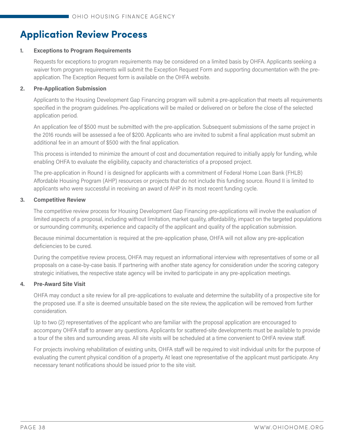# **Application Review Process**

#### **1. Exceptions to Program Requirements**

Requests for exceptions to program requirements may be considered on a limited basis by OHFA. Applicants seeking a waiver from program requirements will submit the Exception Request Form and supporting documentation with the preapplication. The Exception Request form is available on the OHFA website.

#### **2. Pre-Application Submission**

Applicants to the Housing Development Gap Financing program will submit a pre-application that meets all requirements specified in the program guidelines. Pre-applications will be mailed or delivered on or before the close of the selected application period.

An application fee of \$500 must be submitted with the pre-application. Subsequent submissions of the same project in the 2016 rounds will be assessed a fee of \$200. Applicants who are invited to submit a final application must submit an additional fee in an amount of \$500 with the final application.

This process is intended to minimize the amount of cost and documentation required to initially apply for funding, while enabling OHFA to evaluate the eligibility, capacity and characteristics of a proposed project.

The pre-application in Round I is designed for applicants with a commitment of Federal Home Loan Bank (FHLB) Affordable Housing Program (AHP) resources or projects that do not include this funding source. Round II is limited to applicants who were successful in receiving an award of AHP in its most recent funding cycle.

#### **3. Competitive Review**

The competitive review process for Housing Development Gap Financing pre-applications will involve the evaluation of limited aspects of a proposal, including without limitation, market quality, affordability, impact on the targeted populations or surrounding community, experience and capacity of the applicant and quality of the application submission.

Because minimal documentation is required at the pre-application phase, OHFA will not allow any pre-application deficiencies to be cured.

During the competitive review process, OHFA may request an informational interview with representatives of some or all proposals on a case-by-case basis. If partnering with another state agency for consideration under the scoring category strategic initiatives, the respective state agency will be invited to participate in any pre-application meetings.

#### **4. Pre-Award Site Visit**

OHFA may conduct a site review for all pre-applications to evaluate and determine the suitability of a prospective site for the proposed use. If a site is deemed unsuitable based on the site review, the application will be removed from further consideration.

Up to two (2) representatives of the applicant who are familiar with the proposal application are encouraged to accompany OHFA staff to answer any questions. Applicants for scattered-site developments must be available to provide a tour of the sites and surrounding areas. All site visits will be scheduled at a time convenient to OHFA review staff.

For projects involving rehabilitation of existing units, OHFA staff will be required to visit individual units for the purpose of evaluating the current physical condition of a property. At least one representative of the applicant must participate. Any necessary tenant notifications should be issued prior to the site visit.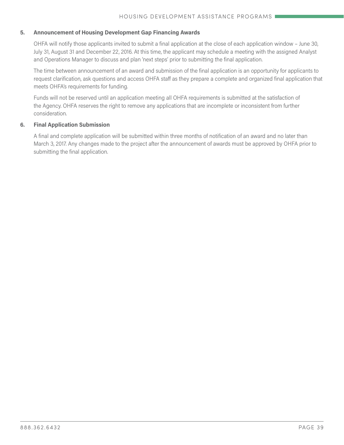#### **5. Announcement of Housing Development Gap Financing Awards**

OHFA will notify those applicants invited to submit a final application at the close of each application window – June 30, July 31, August 31 and December 22, 2016. At this time, the applicant may schedule a meeting with the assigned Analyst and Operations Manager to discuss and plan 'next steps' prior to submitting the final application.

The time between announcement of an award and submission of the final application is an opportunity for applicants to request clarification, ask questions and access OHFA staff as they prepare a complete and organized final application that meets OHFA's requirements for funding.

Funds will not be reserved until an application meeting all OHFA requirements is submitted at the satisfaction of the Agency. OHFA reserves the right to remove any applications that are incomplete or inconsistent from further consideration.

#### **6. Final Application Submission**

A final and complete application will be submitted within three months of notification of an award and no later than March 3, 2017. Any changes made to the project after the announcement of awards must be approved by OHFA prior to submitting the final application.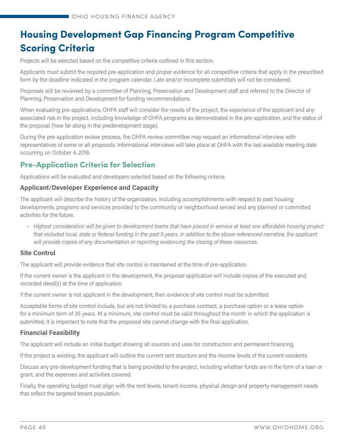# **Housing Development Gap Financing Program Competitive Scoring Criteria**

Projects will be selected based on the competitive criteria outlined in this section.

Applicants must submit the required pre-application and proper evidence for all competitive criteria that apply in the prescribed form by the deadline indicated in the program calendar. Late and/or incomplete submittals will not be considered.

Proposals will be reviewed by a committee of Planning, Preservation and Development staff and referred to the Director of Planning, Preservation and Development for funding recommendations.

When evaluating pre-applications, OHFA staff will consider the needs of the project, the experience of the applicant and any associated risk in the project, including knowledge of OHFA programs as demonstrated in the pre-application, and the status of the proposal (how far along in the predevelopment stage).

During the pre-application review process, the OHFA review committee may request an informational interview with representatives of some or all proposals. Informational interviews will take place at OHFA with the last available meeting date occurring on October 4, 2016.

# **Pre-Application Criteria for Selection**

Applications will be evaluated and developers selected based on the following criteria:

#### **Applicant/Developer Experience and Capacity**

The applicant will describe the history of the organization, including accomplishments with respect to past housing developments, programs and services provided to the community or neighborhood served and any planned or committed activities for the future.

*• Highest consideration will be given to development teams that have placed in service at least one affordable housing project that included local, state or federal funding in the past 5 years. In addition to the above referenced narrative, the applicant will provide copies of any documentation or reporting evidencing the closing of these resources.*

#### **Site Control**

The applicant will provide evidence that site control is maintained at the time of pre-application.

If the current owner is the applicant in the development, the proposal application will include copies of the executed and recorded deed(s) at the time of application.

If the current owner is not applicant in the development, then evidence of site control must be submitted.

Acceptable forms of site control include, but are not limited to, a purchase contract, a purchase option or a lease option for a minimum term of 35 years. At a minimum, site control must be valid throughout the month in which the application is submitted. It is important to note that the proposed site cannot change with the final application.

#### **Financial Feasibility**

The applicant will include an initial budget showing all sources and uses for construction and permanent financing.

If the project is existing, the applicant will outline the current rent structure and the income levels of the current residents.

Discuss any pre-development funding that is being provided to the project, including whether funds are in the form of a loan or grant, and the expenses and activities covered.

Finally, the operating budget must align with the rent levels, tenant income, physical design and property management needs that reflect the targeted tenant population.